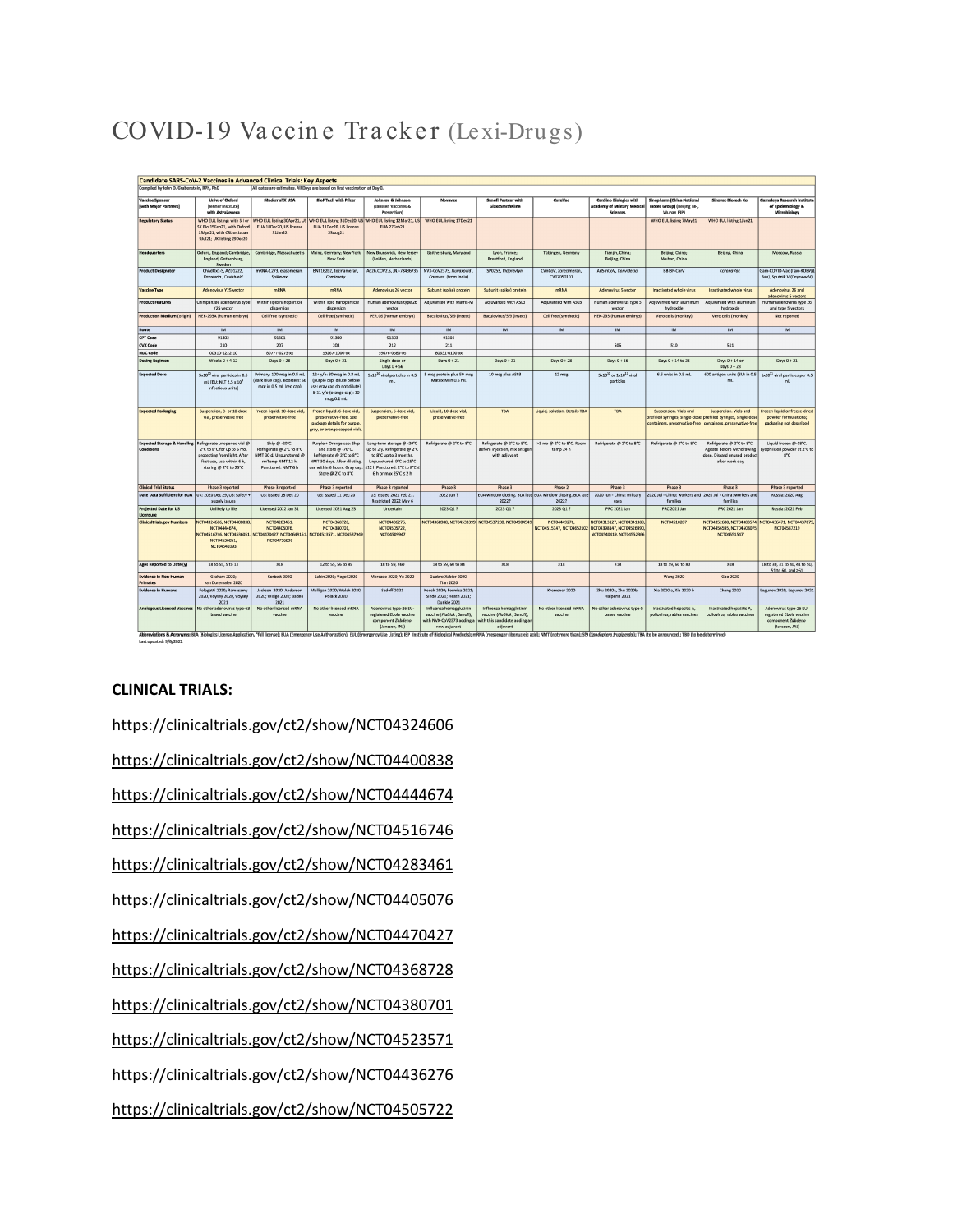# COVID-19 Vaccine Tracker (Lexi-Drugs)

| <b>Candidate SARS-CoV-2 Vaccines in Advanced Clinical Trials: Key Aspects</b>                                                                                                                                                                            |                                                                                                                                                  |                                                                                                                            |                                                                                                                                                                                                  |                                                                                                                                          |                                                                                                     |                                                                                                    |                                                                    |                                                                                                             |                                                                                          |                                                                                                           |                                                                                           |
|----------------------------------------------------------------------------------------------------------------------------------------------------------------------------------------------------------------------------------------------------------|--------------------------------------------------------------------------------------------------------------------------------------------------|----------------------------------------------------------------------------------------------------------------------------|--------------------------------------------------------------------------------------------------------------------------------------------------------------------------------------------------|------------------------------------------------------------------------------------------------------------------------------------------|-----------------------------------------------------------------------------------------------------|----------------------------------------------------------------------------------------------------|--------------------------------------------------------------------|-------------------------------------------------------------------------------------------------------------|------------------------------------------------------------------------------------------|-----------------------------------------------------------------------------------------------------------|-------------------------------------------------------------------------------------------|
| All dates are estimates. All Days are based on first vaccination at Day 0.<br>Compiled by John D. Grabenstein, RPh, PhD                                                                                                                                  |                                                                                                                                                  |                                                                                                                            |                                                                                                                                                                                                  |                                                                                                                                          |                                                                                                     |                                                                                                    |                                                                    |                                                                                                             |                                                                                          |                                                                                                           |                                                                                           |
| <b>Vaccine Sponsor</b><br><b>[with Major Partners]</b>                                                                                                                                                                                                   | Univ. of Oxford<br>(Jenner Institute)<br>with AstraZeneca                                                                                        | ModernaTX USA                                                                                                              | <b>BioNTech with Pfizer</b>                                                                                                                                                                      | Johnson & Johnson<br>(Janssen Vaccines &<br>Prevention)                                                                                  | Novayas                                                                                             | <b>Sanofi Pasteur with</b><br>GlaxoSmithKline                                                      | <b>CureVac</b>                                                     | <b>CanSino Biologics with</b><br><b>Academy of Military Medical</b><br><b>Sciences</b>                      | Sinopharm [China National<br><b>Biotec Group) (Beijing IBP,</b><br>Wuhan IBP)            | Sinovac Biotech Co.                                                                                       | Gamaleya Research Institute<br>of Epidemiology &<br>Microbiology                          |
| <b>Regulatory Status</b>                                                                                                                                                                                                                                 | SK Bio 15Feb21, with Oxford<br>15Apr21, with CSL or Japan<br>9Jul21; UK listing 29Dec20                                                          | WHO EUL listing: with SII or WHO EUL listing 30Apr21, US<br>EUA 18Dec20, US license<br>31 lan22                            | EUA 11Dec20, US license<br>23Aug21                                                                                                                                                               | WHO EUL listing 31Dec20, US WHO EUL listing 12Mar21, US<br>EUA 27Feb21                                                                   | WHO EUL listing 17Dec21                                                                             |                                                                                                    |                                                                    |                                                                                                             | WHO EUL listing 7May21                                                                   | WHO EUL listing 1Jun21                                                                                    |                                                                                           |
| <b>Headquarters</b>                                                                                                                                                                                                                                      | Oxford, England; Cambridge<br>England, Gothenburg,<br>Sweden                                                                                     | Cambridge, Massachusetts                                                                                                   | Mainz, Germany; New York,<br>New York                                                                                                                                                            | New Brunswick, New Jersey<br>(Leiden, Netherlands)                                                                                       | Gaithersburg, Maryland                                                                              | Lyon, France;<br>Brentford, England                                                                | Tübingen, Germany                                                  | Tianjin, China;<br>Beijing, China                                                                           | Beijing, China;<br>Wuhan, China                                                          | Beijing, China                                                                                            | Moscow, Russia                                                                            |
| <b>Product Designator</b>                                                                                                                                                                                                                                | ChAdOx1-S. AZD1222.<br>Vaxzevria , Covishielo                                                                                                    | mRNA-1273, elasomeran,<br>Snikeway                                                                                         | BNT162b2, tozinameran,<br>Comirnaty                                                                                                                                                              | Ad26.COV2.S. JNJ-78436735                                                                                                                | NVX-CoV2373, Nuvaxovid<br>Covovox (from India)                                                      | SP0253, Vidprevtyn                                                                                 | CVnCoV, zorecimeran,<br>CV07050101                                 | Ad5-nCoV, Convidecia                                                                                        | BBIBP-CorV                                                                               | CoronaVac                                                                                                 | Gam-COVID-Vac (Гам-КОВИД<br>Baк), Sputnik V (Спутник V)                                   |
| <b>Vaccine Type</b>                                                                                                                                                                                                                                      | Adenovirus Y25 vector                                                                                                                            | mRNA                                                                                                                       | <b>mRNA</b>                                                                                                                                                                                      | Adenavirus 26 vector                                                                                                                     | Subunit (spike) protein                                                                             | Subunit (spike) protein                                                                            | mRNA                                                               | Adenovirus 5 vector                                                                                         | Inactivated whole virus                                                                  | Inactivated whole virus                                                                                   | Adenovirus 26 and<br>adenovirus 5 vectors                                                 |
| <b>Product Features</b>                                                                                                                                                                                                                                  | Chimpanzee adenovirus type<br>Y25 wecto                                                                                                          | Within lipid nanoparticle<br>dispersion                                                                                    | Within lipid nanoparticle<br>dispersion                                                                                                                                                          | Human adenovirus type 26<br>wetor                                                                                                        | Adjuvanted with Matrix-M                                                                            | Adjuvanted with AS03                                                                               | Adjuvanted with AS03                                               | Human adenovirus type 5<br>vecto                                                                            | Adjuvanted with aluminum<br>hydroxide                                                    | Adjuvanted with aluminum<br>hydroxide                                                                     | Human adenovirus type 26<br>and type 5 vectors                                            |
| Production Medium (origin)                                                                                                                                                                                                                               | HEK-293A (human embryo)                                                                                                                          | Cell free (synthetic)                                                                                                      | Cell free (synthetic)                                                                                                                                                                            | PER.C6 (human embryo)                                                                                                                    | Baculovirus/Sf9 (insect)                                                                            | Baculovirus/Sf9 (insect)                                                                           | Cell free (synthetic)                                              | HEK-293 (human embryo)                                                                                      | Vero cells (monkey)                                                                      | Vero cells (monkey)                                                                                       | Not reported                                                                              |
| Route<br><b>CPT Code</b>                                                                                                                                                                                                                                 | IM<br>91302                                                                                                                                      | <b>IM</b><br>91301                                                                                                         | <b>IM</b><br>91300                                                                                                                                                                               | IM<br>91303                                                                                                                              | <b>IM</b><br>91304                                                                                  | <b>IM</b>                                                                                          | <b>IM</b>                                                          | IM.                                                                                                         | <b>IM</b>                                                                                | IM                                                                                                        | <b>IM</b>                                                                                 |
| CVX Code                                                                                                                                                                                                                                                 | 210                                                                                                                                              | 207                                                                                                                        | 208                                                                                                                                                                                              | 212                                                                                                                                      | 211                                                                                                 |                                                                                                    |                                                                    | 506                                                                                                         | 510                                                                                      | 511                                                                                                       |                                                                                           |
| <b>NDC Code</b>                                                                                                                                                                                                                                          | 00310-1222-10                                                                                                                                    | 80777-0273-xx                                                                                                              | 59267-1000-xx                                                                                                                                                                                    | 59676-0580-05                                                                                                                            | 80631-0100-xx                                                                                       |                                                                                                    |                                                                    |                                                                                                             |                                                                                          |                                                                                                           |                                                                                           |
| <b>Dosing Regimen</b>                                                                                                                                                                                                                                    | Weeks $0 + 4 - 12$                                                                                                                               | Days 0 + 28                                                                                                                | Days $0 + 21$                                                                                                                                                                                    | Single dose or<br>Days 0 + 56                                                                                                            | Days $0 + 21$                                                                                       | Days 0 + 21                                                                                        | Days $0 + 28$                                                      | Days 0 + 56                                                                                                 | Days 0 + 14 to 28                                                                        | Days 0 + 14 or<br>Days $0 + 28$                                                                           | Days $0 + 21$                                                                             |
| <b>Expected Dose</b>                                                                                                                                                                                                                                     | 5x10 <sup>11</sup> viral particles in 0.5<br>mL [EU: NLT 2.5 x 10"<br>infectious units)                                                          | Primary: 100 mcg in 0.5 ml.<br>(dark blue cap). Boosters: 50<br>mcg in 0.5 mL (red cap)                                    | 12+ y/o: 30 mcg in 0.3 mL<br>(purple cap: dilute before<br>use: gray cap do not dilute)<br>5-11 y/o (orange cap): 10<br>mcg/0.2 ml                                                               | 5x10 <sup>10</sup> viral particles in 0.5<br>ml                                                                                          | 5 mcg protein plus 50 mcg<br>Matrix-M in 0.5 ml                                                     | 10 mcg plus AS03                                                                                   | 12 mcg                                                             | Sx10 <sup>19</sup> or 1x10 <sup>11</sup> viral<br>particles                                                 | 6.5 units in 0.5 mL                                                                      | 600 antigen units (SU) in 0.5<br>ml                                                                       | 1x10 <sup>11</sup> viral particles per 0.5<br>ml                                          |
| <b>Expected Packaging</b>                                                                                                                                                                                                                                | Suspension, 8- or 10-dose<br>vial, preservative free                                                                                             | Frozen liquid. 10-dose vial<br>preservative-free                                                                           | Frozen liquid, 6-dose vial.<br>preservative-free. See<br>package details for purple,<br>gray, or orange capped vials.                                                                            | Suspension, 5-dose vial.<br>preservative-free                                                                                            | Liquid. 10-dose vial<br>preservative-free                                                           | <b>TBA</b>                                                                                         | Liquid, solution, Details TBA                                      | <b>TBA</b>                                                                                                  | Suspension, Vials and<br>prefilled syringes, single-dose prefilled syringes, single-dose | Suspension, Vials and<br>containers, preservative-free containers, preservative-free                      | Frazen liquid or freeze-dried<br>powder formulations;<br>packaging not described          |
| <b>Expected Storage &amp; Handling</b><br>Conditions                                                                                                                                                                                                     | Refrigerate unopened vial @<br>2°C to 8°C for up to 6 mo,<br>protecting from light. After<br>first use, use within 6 h,<br>storing @ 2°C to 25°C | Ship @ -20°C.<br>Refrigerate @ 2"C to 8"C<br>NMT 30 d. Unpunctured @<br>rmTemp NMT 12 h.<br>Punctured: NMT 6 h             | Purple + Orange cap: Ship<br>and store @ -70°C.<br>Refrigerate @ 2°C to 8°C<br>NMT 30 days. After diluting,<br>use within 6 hours. Gray cap: S12 h Punctured: 2"C to 8"C s<br>Store @ 2°C to 8°C | Long-term storage @ -20°C<br>up to 2 v. Refrigerate @ 2"0<br>to 8°C up to 3 months.<br>Unpunctured: 9°C to 25°C<br>6 h or max 25°C ≤ 2 h | Refrigerate @ 2°C to 8°C                                                                            | Refrigerate @ 2°C to 8°C.<br>Before injection, mix antigen<br>with adjuvant                        | >3 mo @ 2"C to 8"C. Room<br>temp 24 h                              | Refrigerate @ 2°C to 8°C                                                                                    | Refrigerate @ 2°C to 8°C                                                                 | Refrigerate @ 2°C to 8°C.<br>Agitate before withdrawing<br>dose. Discard unused product<br>after work day | Liquid frozen @-18°C.<br>Lyophilized powder at 2°C to<br>$8^{\circ}C$                     |
| <b>Clinical Trial Status</b>                                                                                                                                                                                                                             | Phase 3 reported                                                                                                                                 | Phase 3 reported                                                                                                           | Phase 3 reported                                                                                                                                                                                 | Phase 3 reported                                                                                                                         | Phase 3                                                                                             | Phase 3                                                                                            | Phase 2                                                            | Phase 3                                                                                                     | Phase 3                                                                                  | Phase 3                                                                                                   | Phase 3 reported                                                                          |
| Date Data Sufficient for EUA UK: 2020 Dec 29, US: safety +                                                                                                                                                                                               | supply issues                                                                                                                                    | US: Issued 18 Dec 20                                                                                                       | US: issued 11 Dec 20                                                                                                                                                                             | US: Issued 2021 Feb 27.<br>Restricted 2022 May 6                                                                                         | 2022 lun 2                                                                                          | 20222                                                                                              | EUA window closing. BLA late EUA window closing. BLA late<br>20222 | 2020 Jun - China: military<br>uses                                                                          | 2020 Jul - China: workers and 2020 Jul - China: workers and<br>families                  | families                                                                                                  | Russia: 2020 Aug                                                                          |
| <b>Projected Date for US</b><br>Licensure                                                                                                                                                                                                                | Unlikely to file                                                                                                                                 | Licensed 2022 Jan 31                                                                                                       | Licensed 2021 Aug 23                                                                                                                                                                             | Uncertain                                                                                                                                | 2023 Q1 ?                                                                                           | 2023 01 ?                                                                                          | 2023 Q1 ?                                                          | <b>PRC 2021 Jan</b>                                                                                         | PRC 2021 Jan                                                                             | <b>PRC 2021 Jan</b>                                                                                       | Russia: 2021 Feb                                                                          |
| <b>Clinicaltrials.gov Numbers</b>                                                                                                                                                                                                                        | NCT04324606, NCT04400838,<br>NCT04444674<br>NCT04536051<br>NCT04540393                                                                           | NCT04283461<br>NCT04405076,<br>NCT04516746, NCT04536051, NCT04470427, NCT04649151, NCT04523571, NCT04537949<br>NCT04796896 | NCT04368728.<br>NCT04380701                                                                                                                                                                      | NCT04436276,<br>NCT04505722<br>NCT04509947                                                                                               |                                                                                                     | NCT04368988, NCT04533399 NCT04537208, NCT04904549                                                  | NCT04449276.                                                       | NCT04313127, NCT04341389,<br>NCT04515147, NCT04652102 NCT04398147, NCT04526990.<br>NCT04540419, NCT04552366 | NCT04510207                                                                              | NCT04352608, NCT04383574, NCT04436471, NCT04437875<br>NCT04456595, NCT04508075<br>NCT04551547             | <b>NCT04587219</b>                                                                        |
| Ages Reported to Date (y)                                                                                                                                                                                                                                | 18 to 55, 5 to 12                                                                                                                                | $\geq 18$                                                                                                                  | 12 to 55, 56 to 85                                                                                                                                                                               | 18 to 59, ≥60                                                                                                                            | 18 to 59, 60 to 84                                                                                  | $\geq 18$                                                                                          | $\geq 18$                                                          | $\geq 18$                                                                                                   | 18 to 59 60 to 80                                                                        | $\geq 18$                                                                                                 | 18 to 30, 31 to 40, 41 to 50,<br>51 to 60, and 261                                        |
| Evidence in Non-Human<br><b>Primates</b>                                                                                                                                                                                                                 | Graham 2020:<br>van Doremalen 2020                                                                                                               | Corbett 2020                                                                                                               | Sahin 2020: Vogel 2020                                                                                                                                                                           | Mercado 2020: Yu 2020                                                                                                                    | Guebre-Xabier 2020:<br><b>Tian 2020</b>                                                             |                                                                                                    |                                                                    |                                                                                                             | <b>Wang 2020</b>                                                                         | Gao 2020                                                                                                  |                                                                                           |
| <b>Evidence in Humans</b>                                                                                                                                                                                                                                | Folegatti 2020; Ramasamy<br>2020, Voysey 2020, Voysey<br>2021                                                                                    | Jackson 2020; Anderson<br>2020; Widge 2020; Baden<br>2021                                                                  | Mulligan 2020; Walsh 2020;<br>Polack 2020                                                                                                                                                        | Sadoff 2021                                                                                                                              | Keech 2020; Formica 2021;<br>Sinde 2021; Heath 2021;<br>Dunkle 2021                                 |                                                                                                    | Kremsner 2020                                                      | Zhu 2020a, Zhu 2020b;<br>Halperin 2021                                                                      | Xia 2020 a, Xia 2020 b                                                                   | <b>Zhang 2020</b>                                                                                         | Logunov 2020, Logunov 2021                                                                |
| <b>Analogous Licensed Vaccines</b>                                                                                                                                                                                                                       | No other adenovirus type-63<br>hased vaccing                                                                                                     | No other licensed mRNA<br>vaccine                                                                                          | No other licensed mRNA<br>varcine                                                                                                                                                                | Adenovirus type-26 EU-<br>registered Ebola vaccine<br>component Zabdeno<br>(Janssen, JNJ)                                                | Influenza hemagglutinin<br>vaccine (FluBlok, Sanofi).<br>with NVX-CoV2373 adding a<br>new adjustant | Influenza hemagglutinin<br>vaccine (FluBlok, Sanofi).<br>with this candidate adding an<br>adiuvant | No other licensed mRNA<br>varrine                                  | No other adenovirus type-5<br>based vaccine                                                                 | Inactivated benatitis A<br>pollovirus, rables vaccines                                   | Inactivated hepatitis A.<br>pollovirus, rables vaccines                                                   | Adenovirus type-26 EU-<br>resistered Ebola vaccine<br>component Zobdeno<br>(Janssen, JNJ) |
| Abbreviations & Acronyms: BLA (Biologics License Application, "full license): EUA (Emergency Use Authorization); EUL (Emergency Use Listing); BP (Institute of Biological Products); mRNA (messenger ribonucleic acid); NMT (n<br>Last updated: 5/6/2022 |                                                                                                                                                  |                                                                                                                            |                                                                                                                                                                                                  |                                                                                                                                          |                                                                                                     |                                                                                                    |                                                                    |                                                                                                             |                                                                                          |                                                                                                           |                                                                                           |

#### **CLINICAL TRIALS:**

https://clinicaltrials.gov/ct2/show/NCT04324606 https://clinicaltrials.gov/ct2/show/NCT04400838 https://clinicaltrials.gov/ct2/show/NCT04444674 https://clinicaltrials.gov/ct2/show/NCT04516746 https://clinicaltrials.gov/ct2/show/NCT04283461 https://clinicaltrials.gov/ct2/show/NCT04405076 https://clinicaltrials.gov/ct2/show/NCT04470427 https://clinicaltrials.gov/ct2/show/NCT04368728 https://clinicaltrials.gov/ct2/show/NCT04380701 https://clinicaltrials.gov/ct2/show/NCT04523571 https://clinicaltrials.gov/ct2/show/NCT04436276 https://clinicaltrials.gov/ct2/show/NCT04505722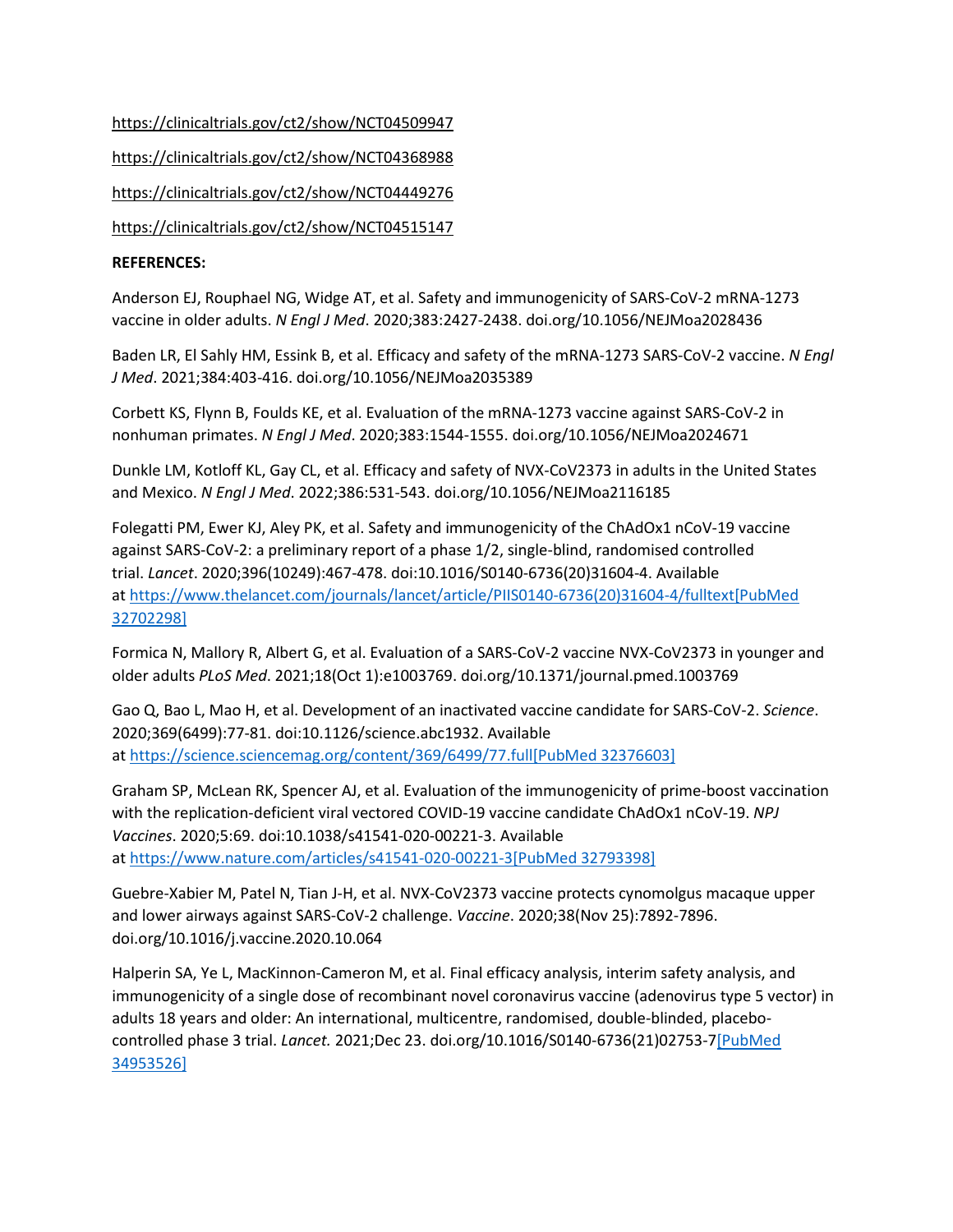<https://clinicaltrials.gov/ct2/show/NCT04509947> <https://clinicaltrials.gov/ct2/show/NCT04368988> <https://clinicaltrials.gov/ct2/show/NCT04449276> <https://clinicaltrials.gov/ct2/show/NCT04515147>

## **REFERENCES:**

Anderson EJ, Rouphael NG, Widge AT, et al. Safety and immunogenicity of SARS-CoV-2 mRNA-1273 vaccine in older adults. *N Engl J Med*. 2020;383:2427-2438. doi.org/10.1056/NEJMoa2028436

Baden LR, El Sahly HM, Essink B, et al. Efficacy and safety of the mRNA-1273 SARS-CoV-2 vaccine. *N Engl J Med*. 2021;384:403-416. doi.org/10.1056/NEJMoa2035389

Corbett KS, Flynn B, Foulds KE, et al. Evaluation of the mRNA-1273 vaccine against SARS-CoV-2 in nonhuman primates. *N Engl J Med*. 2020;383:1544-1555. doi.org/10.1056/NEJMoa2024671

Dunkle LM, Kotloff KL, Gay CL, et al. Efficacy and safety of NVX-CoV2373 in adults in the United States and Mexico. *N Engl J Med*. 2022;386:531-543. doi.org/10.1056/NEJMoa2116185

Folegatti PM, Ewer KJ, Aley PK, et al. Safety and immunogenicity of the ChAdOx1 nCoV-19 vaccine against SARS-CoV-2: a preliminary report of a phase 1/2, single-blind, randomised controlled trial. *Lancet*. 2020;396(10249):467-478. doi:10.1016/S0140-6736(20)31604-4. Available at [https://www.thelancet.com/journals/lancet/article/PIIS0140-6736\(20\)31604-4/fulltext](https://www.thelancet.com/journals/lancet/article/PIIS0140-6736(20)31604-4/fulltext)[\[PubMed](https://www.ncbi.nlm.nih.gov/entrez/query.fcgi?cmd=Retrieve&db=pubmed&dopt=Abstract&list_uids=32702298)  [32702298\]](https://www.ncbi.nlm.nih.gov/entrez/query.fcgi?cmd=Retrieve&db=pubmed&dopt=Abstract&list_uids=32702298)

Formica N, Mallory R, Albert G, et al. Evaluation of a SARS-CoV-2 vaccine NVX-CoV2373 in younger and older adults *PLoS Med*. 2021;18(Oct 1):e1003769. doi.org/10.1371/journal.pmed.1003769

Gao Q, Bao L, Mao H, et al. Development of an inactivated vaccine candidate for SARS-CoV-2. *Science*. 2020;369(6499):77-81. doi:10.1126/science.abc1932. Available at <https://science.sciencemag.org/content/369/6499/77.full>[\[PubMed 32376603\]](https://www.ncbi.nlm.nih.gov/entrez/query.fcgi?cmd=Retrieve&db=pubmed&dopt=Abstract&list_uids=32376603)

Graham SP, McLean RK, Spencer AJ, et al. Evaluation of the immunogenicity of prime-boost vaccination with the replication-deficient viral vectored COVID-19 vaccine candidate ChAdOx1 nCoV-19. *NPJ Vaccines*. 2020;5:69. doi:10.1038/s41541-020-00221-3. Available at <https://www.nature.com/articles/s41541-020-00221-3>[\[PubMed 32793398\]](https://www.ncbi.nlm.nih.gov/entrez/query.fcgi?cmd=Retrieve&db=pubmed&dopt=Abstract&list_uids=32793398)

Guebre-Xabier M, Patel N, Tian J-H, et al. NVX-CoV2373 vaccine protects cynomolgus macaque upper and lower airways against SARS-CoV-2 challenge. *Vaccine*. 2020;38(Nov 25):7892-7896. doi.org/10.1016/j.vaccine.2020.10.064

Halperin SA, Ye L, MacKinnon-Cameron M, et al. Final efficacy analysis, interim safety analysis, and immunogenicity of a single dose of recombinant novel coronavirus vaccine (adenovirus type 5 vector) in adults 18 years and older: An international, multicentre, randomised, double-blinded, placebocontrolled phase 3 trial. *Lancet.* 2021;Dec 23. doi.org/10.1016/S0140-6736(21)02753-[7\[PubMed](https://www.ncbi.nlm.nih.gov/entrez/query.fcgi?cmd=Retrieve&db=pubmed&dopt=Abstract&list_uids=34953526)  [34953526\]](https://www.ncbi.nlm.nih.gov/entrez/query.fcgi?cmd=Retrieve&db=pubmed&dopt=Abstract&list_uids=34953526)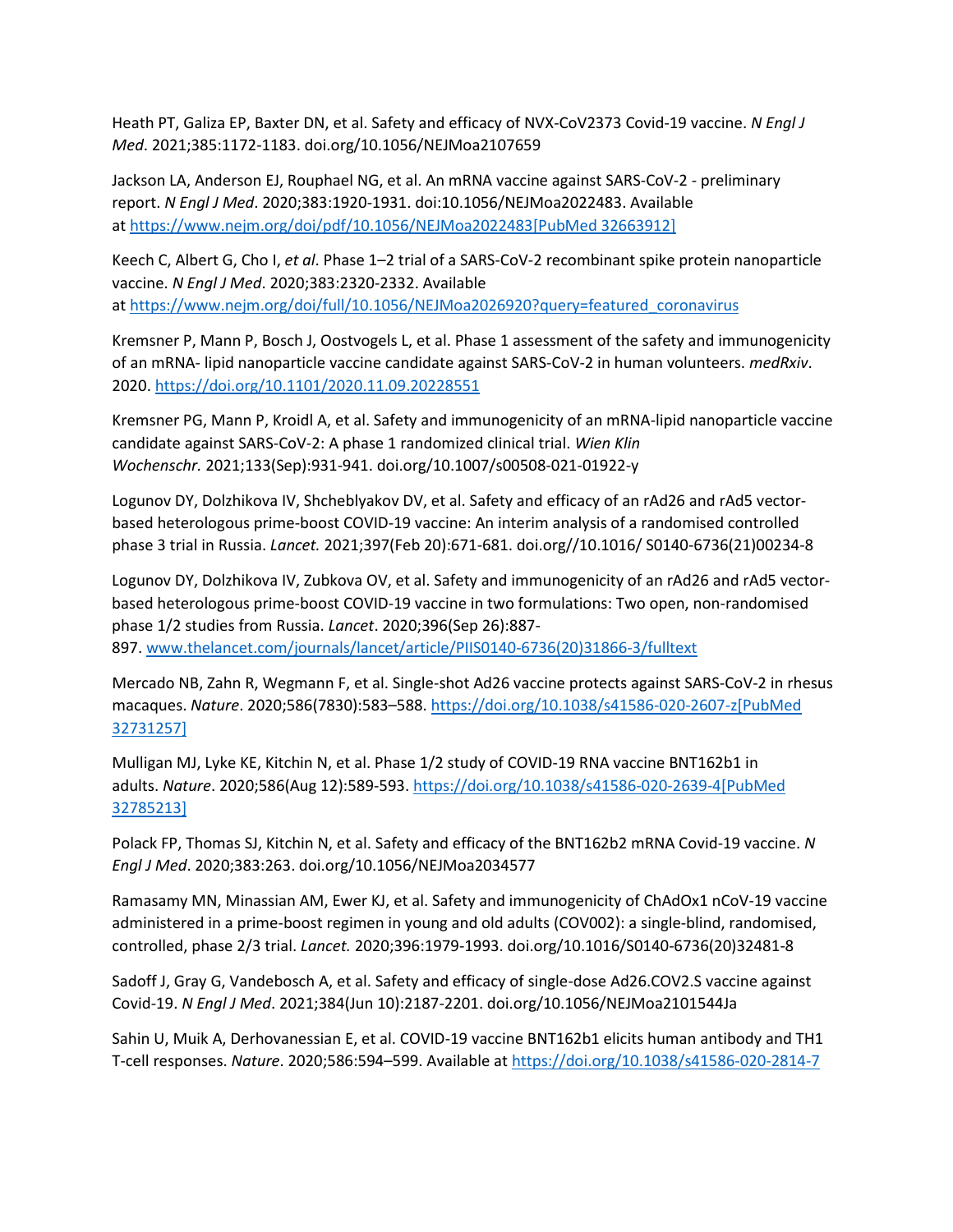Heath PT, Galiza EP, Baxter DN, et al. Safety and efficacy of NVX-CoV2373 Covid-19 vaccine. *N Engl J Med*. 2021;385:1172-1183. doi.org/10.1056/NEJMoa2107659

Jackson LA, Anderson EJ, Rouphael NG, et al. An mRNA vaccine against SARS-CoV-2 - preliminary report. *N Engl J Med*. 2020;383:1920-1931. doi:10.1056/NEJMoa2022483. Available at <https://www.nejm.org/doi/pdf/10.1056/NEJMoa2022483>[\[PubMed 32663912\]](https://www.ncbi.nlm.nih.gov/entrez/query.fcgi?cmd=Retrieve&db=pubmed&dopt=Abstract&list_uids=32663912)

Keech C, Albert G, Cho I, *et al*. Phase 1–2 trial of a SARS-CoV-2 recombinant spike protein nanoparticle vaccine. *N Engl J Med*. 2020;383:2320-2332. Available at [https://www.nejm.org/doi/full/10.1056/NEJMoa2026920?query=featured\\_coronavirus](https://www.nejm.org/doi/full/10.1056/NEJMoa2026920?query=featured_coronavirus)

Kremsner P, Mann P, Bosch J, Oostvogels L, et al. Phase 1 assessment of the safety and immunogenicity of an mRNA- lipid nanoparticle vaccine candidate against SARS-CoV-2 in human volunteers. *medRxiv*. 2020. <https://doi.org/10.1101/2020.11.09.20228551>

Kremsner PG, Mann P, Kroidl A, et al. Safety and immunogenicity of an mRNA-lipid nanoparticle vaccine candidate against SARS-CoV-2: A phase 1 randomized clinical trial. *Wien Klin Wochenschr.* 2021;133(Sep):931-941. doi.org/10.1007/s00508-021-01922-y

Logunov DY, Dolzhikova IV, Shcheblyakov DV, et al. Safety and efficacy of an rAd26 and rAd5 vectorbased heterologous prime-boost COVID-19 vaccine: An interim analysis of a randomised controlled phase 3 trial in Russia. *Lancet.* 2021;397(Feb 20):671-681. doi.org//10.1016/ S0140-6736(21)00234-8

Logunov DY, Dolzhikova IV, Zubkova OV, et al. Safety and immunogenicity of an rAd26 and rAd5 vectorbased heterologous prime-boost COVID-19 vaccine in two formulations: Two open, non-randomised phase 1/2 studies from Russia. *Lancet*. 2020;396(Sep 26):887- 897. [www.thelancet.com/journals/lancet/article/PIIS0140-6736\(20\)31866-3/fulltext](https://www.thelancet.com/journals/lancet/article/PIIS0140-6736(20)31866-3/fulltext)

Mercado NB, Zahn R, Wegmann F, et al. Single-shot Ad26 vaccine protects against SARS-CoV-2 in rhesus macaques. *Nature*. 2020;586(7830):583–588. <https://doi.org/10.1038/s41586-020-2607-z>[\[PubMed](https://www.ncbi.nlm.nih.gov/entrez/query.fcgi?cmd=Retrieve&db=pubmed&dopt=Abstract&list_uids=32731257)  [32731257\]](https://www.ncbi.nlm.nih.gov/entrez/query.fcgi?cmd=Retrieve&db=pubmed&dopt=Abstract&list_uids=32731257)

Mulligan MJ, Lyke KE, Kitchin N, et al. Phase 1/2 study of COVID-19 RNA vaccine BNT162b1 in adults. *Nature*. 2020;586(Aug 12):589-593. <https://doi.org/10.1038/s41586-020-2639-4>[\[PubMed](https://www.ncbi.nlm.nih.gov/entrez/query.fcgi?cmd=Retrieve&db=pubmed&dopt=Abstract&list_uids=32785213)  [32785213\]](https://www.ncbi.nlm.nih.gov/entrez/query.fcgi?cmd=Retrieve&db=pubmed&dopt=Abstract&list_uids=32785213)

Polack FP, Thomas SJ, Kitchin N, et al. Safety and efficacy of the BNT162b2 mRNA Covid-19 vaccine. *N Engl J Med*. 2020;383:263. doi.org/10.1056/NEJMoa2034577

Ramasamy MN, Minassian AM, Ewer KJ, et al. Safety and immunogenicity of ChAdOx1 nCoV-19 vaccine administered in a prime-boost regimen in young and old adults (COV002): a single-blind, randomised, controlled, phase 2/3 trial. *Lancet.* 2020;396:1979-1993. doi.org/10.1016/S0140-6736(20)32481-8

Sadoff J, Gray G, Vandebosch A, et al. Safety and efficacy of single-dose Ad26.COV2.S vaccine against Covid-19. *N Engl J Med*. 2021;384(Jun 10):2187-2201. doi.org/10.1056/NEJMoa2101544Ja

Sahin U, Muik A, Derhovanessian E, et al. COVID-19 vaccine BNT162b1 elicits human antibody and TH1 T-cell responses. *Nature*. 2020;586:594–599. Available at <https://doi.org/10.1038/s41586-020-2814-7>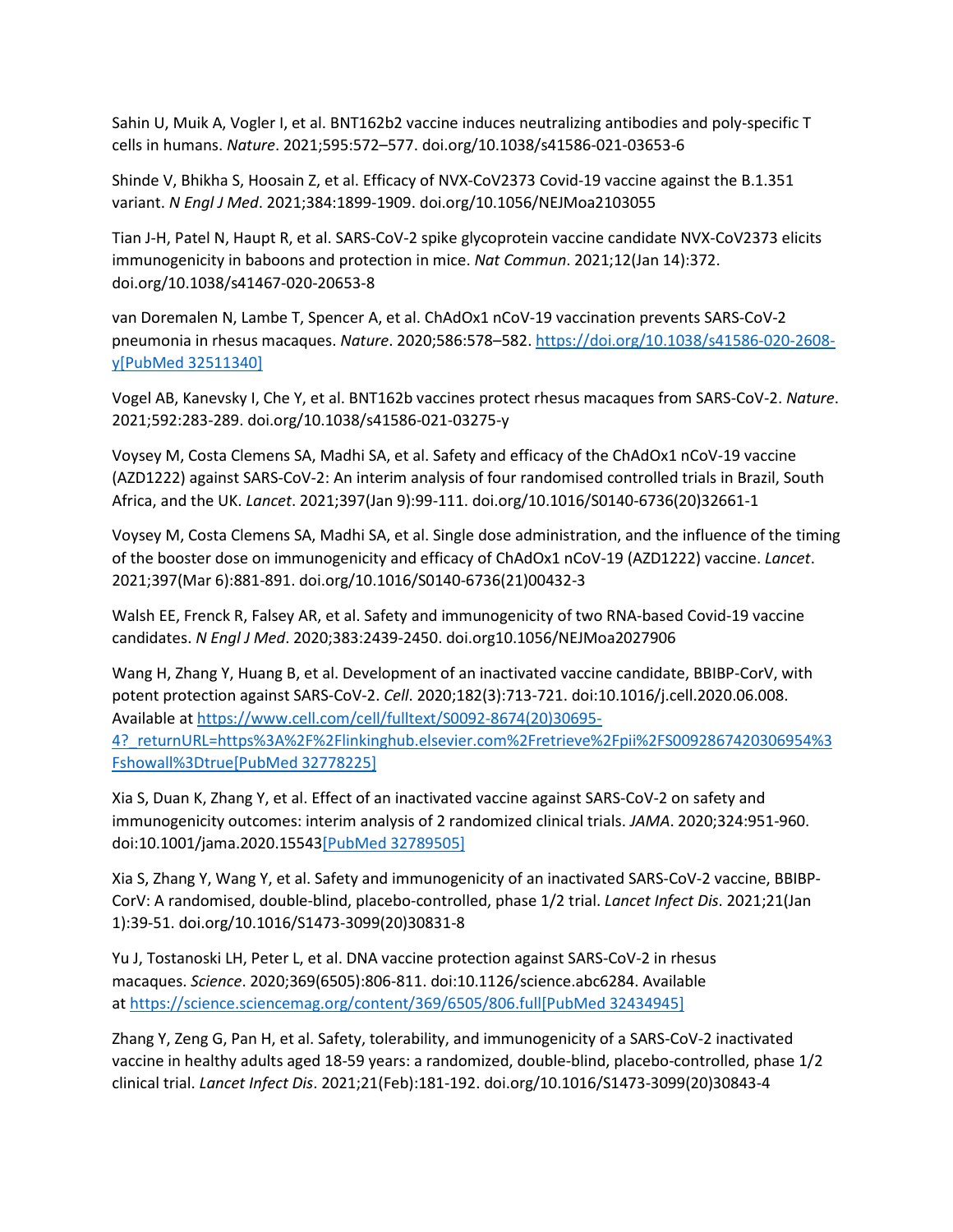Sahin U, Muik A, Vogler I, et al. BNT162b2 vaccine induces neutralizing antibodies and poly-specific T cells in humans. *Nature*. 2021;595:572–577. doi.org/10.1038/s41586-021-03653-6

Shinde V, Bhikha S, Hoosain Z, et al. Efficacy of NVX-CoV2373 Covid-19 vaccine against the B.1.351 variant. *N Engl J Med*. 2021;384:1899-1909. doi.org/10.1056/NEJMoa2103055

Tian J-H, Patel N, Haupt R, et al. SARS-CoV-2 spike glycoprotein vaccine candidate NVX-CoV2373 elicits immunogenicity in baboons and protection in mice. *Nat Commun*. 2021;12(Jan 14):372. doi.org/10.1038/s41467-020-20653-8

van Doremalen N, Lambe T, Spencer A, et al. ChAdOx1 nCoV-19 vaccination prevents SARS-CoV-2 pneumonia in rhesus macaques. *Nature*. 2020;586:578–582. [https://doi.org/10.1038/s41586-020-2608](https://doi.org/10.1038/s41586-020-2608-y) [y](https://doi.org/10.1038/s41586-020-2608-y)[\[PubMed 32511340\]](https://www.ncbi.nlm.nih.gov/entrez/query.fcgi?cmd=Retrieve&db=pubmed&dopt=Abstract&list_uids=32511340)

Vogel AB, Kanevsky I, Che Y, et al. BNT162b vaccines protect rhesus macaques from SARS-CoV-2. *Nature*. 2021;592:283-289. doi.org/10.1038/s41586-021-03275-y

Voysey M, Costa Clemens SA, Madhi SA, et al. Safety and efficacy of the ChAdOx1 nCoV-19 vaccine (AZD1222) against SARS-CoV-2: An interim analysis of four randomised controlled trials in Brazil, South Africa, and the UK. *Lancet*. 2021;397(Jan 9):99-111. doi.org/10.1016/S0140-6736(20)32661-1

Voysey M, Costa Clemens SA, Madhi SA, et al. Single dose administration, and the influence of the timing of the booster dose on immunogenicity and efficacy of ChAdOx1 nCoV-19 (AZD1222) vaccine. *Lancet*. 2021;397(Mar 6):881-891. doi.org/10.1016/S0140-6736(21)00432-3

Walsh EE, Frenck R, Falsey AR, et al. Safety and immunogenicity of two RNA-based Covid-19 vaccine candidates. *N Engl J Med*. 2020;383:2439-2450. doi.org10.1056/NEJMoa2027906

Wang H, Zhang Y, Huang B, et al. Development of an inactivated vaccine candidate, BBIBP-CorV, with potent protection against SARS-CoV-2. *Cell*. 2020;182(3):713-721. doi:10.1016/j.cell.2020.06.008. Available at [https://www.cell.com/cell/fulltext/S0092-8674\(20\)30695-](https://www.cell.com/cell/fulltext/S0092-8674(20)30695-4?_returnURL=https%3A%2F%2Flinkinghub.elsevier.com%2Fretrieve%2Fpii%2FS0092867420306954%3Fshowall%3Dtrue) [4?\\_returnURL=https%3A%2F%2Flinkinghub.elsevier.com%2Fretrieve%2Fpii%2FS0092867420306954%3](https://www.cell.com/cell/fulltext/S0092-8674(20)30695-4?_returnURL=https%3A%2F%2Flinkinghub.elsevier.com%2Fretrieve%2Fpii%2FS0092867420306954%3Fshowall%3Dtrue) [Fshowall%3Dtrue](https://www.cell.com/cell/fulltext/S0092-8674(20)30695-4?_returnURL=https%3A%2F%2Flinkinghub.elsevier.com%2Fretrieve%2Fpii%2FS0092867420306954%3Fshowall%3Dtrue)[\[PubMed 32778225\]](https://www.ncbi.nlm.nih.gov/entrez/query.fcgi?cmd=Retrieve&db=pubmed&dopt=Abstract&list_uids=32778225)

Xia S, Duan K, Zhang Y, et al. Effect of an inactivated vaccine against SARS-CoV-2 on safety and immunogenicity outcomes: interim analysis of 2 randomized clinical trials. *JAMA*. 2020;324:951-960. doi:10.1001/jama.2020.1554[3\[PubMed 32789505\]](https://www.ncbi.nlm.nih.gov/entrez/query.fcgi?cmd=Retrieve&db=pubmed&dopt=Abstract&list_uids=32789505)

Xia S, Zhang Y, Wang Y, et al. Safety and immunogenicity of an inactivated SARS-CoV-2 vaccine, BBIBP-CorV: A randomised, double-blind, placebo-controlled, phase 1/2 trial. *Lancet Infect Dis*. 2021;21(Jan 1):39-51. doi.org/10.1016/S1473-3099(20)30831-8

Yu J, Tostanoski LH, Peter L, et al. DNA vaccine protection against SARS-CoV-2 in rhesus macaques. *Science*. 2020;369(6505):806-811. doi:10.1126/science.abc6284. Available at <https://science.sciencemag.org/content/369/6505/806.full>[\[PubMed 32434945\]](https://www.ncbi.nlm.nih.gov/entrez/query.fcgi?cmd=Retrieve&db=pubmed&dopt=Abstract&list_uids=32434945)

Zhang Y, Zeng G, Pan H, et al. Safety, tolerability, and immunogenicity of a SARS-CoV-2 inactivated vaccine in healthy adults aged 18-59 years: a randomized, double-blind, placebo-controlled, phase 1/2 clinical trial. *Lancet Infect Dis*. 2021;21(Feb):181-192. doi.org/10.1016/S1473-3099(20)30843-4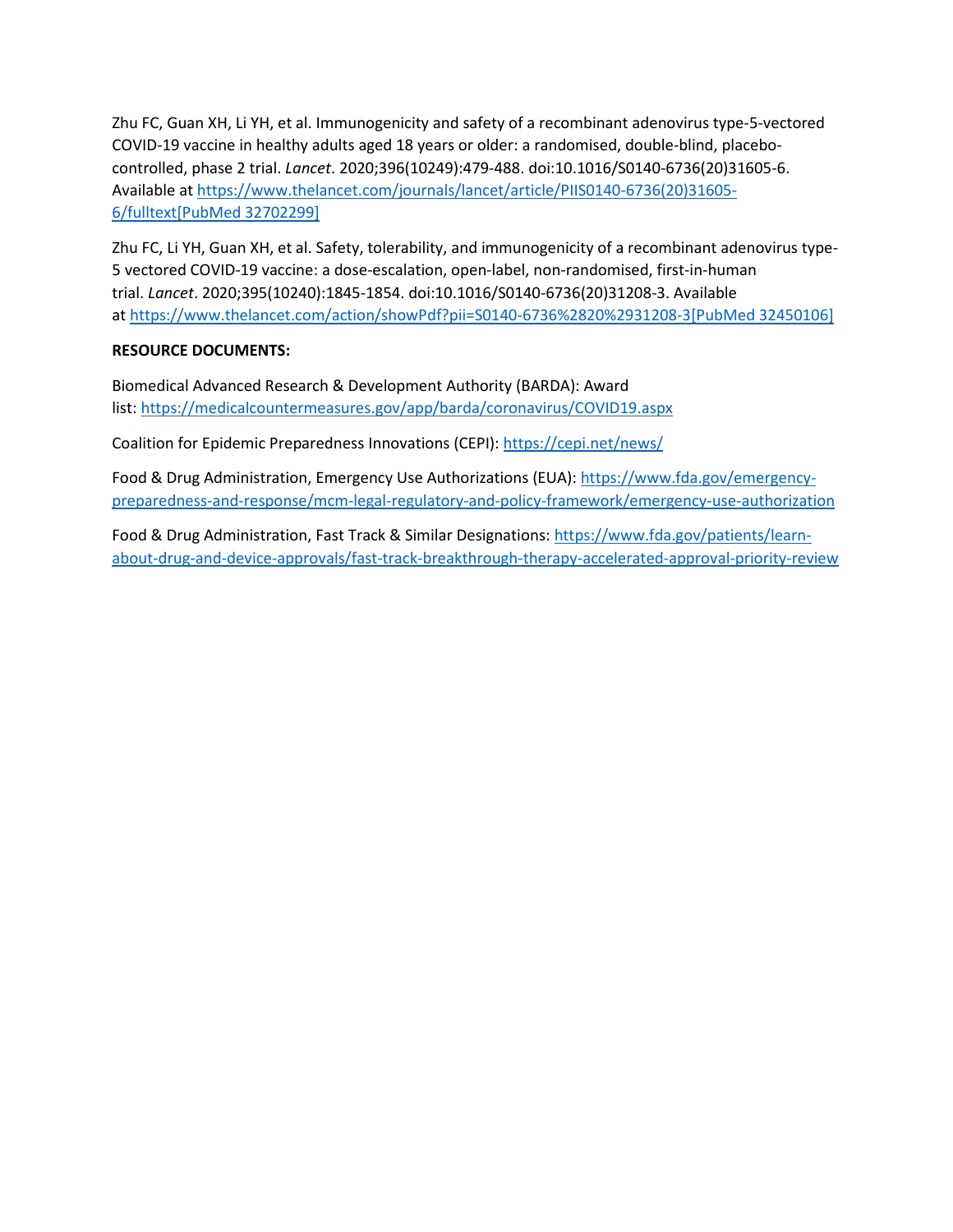Zhu FC, Guan XH, Li YH, et al. Immunogenicity and safety of a recombinant adenovirus type-5-vectored COVID-19 vaccine in healthy adults aged 18 years or older: a randomised, double-blind, placebocontrolled, phase 2 trial. *Lancet*. 2020;396(10249):479-488. doi:10.1016/S0140-6736(20)31605-6. Available at [https://www.thelancet.com/journals/lancet/article/PIIS0140-6736\(20\)31605-](https://www.thelancet.com/journals/lancet/article/PIIS0140-6736(20)31605-6/fulltext) [6/fulltext](https://www.thelancet.com/journals/lancet/article/PIIS0140-6736(20)31605-6/fulltext)[\[PubMed 32702299\]](https://www.ncbi.nlm.nih.gov/entrez/query.fcgi?cmd=Retrieve&db=pubmed&dopt=Abstract&list_uids=32702299)

Zhu FC, Li YH, Guan XH, et al. Safety, tolerability, and immunogenicity of a recombinant adenovirus type-5 vectored COVID-19 vaccine: a dose-escalation, open-label, non-randomised, first-in-human trial. *Lancet*. 2020;395(10240):1845-1854. doi:10.1016/S0140-6736(20)31208-3. Available at <https://www.thelancet.com/action/showPdf?pii=S0140-6736%2820%2931208-3>[\[PubMed 32450106\]](https://www.ncbi.nlm.nih.gov/entrez/query.fcgi?cmd=Retrieve&db=pubmed&dopt=Abstract&list_uids=32450106)

# **RESOURCE DOCUMENTS:**

Biomedical Advanced Research & Development Authority (BARDA): Award list: <https://medicalcountermeasures.gov/app/barda/coronavirus/COVID19.aspx>

Coalition for Epidemic Preparedness Innovations (CEPI): <https://cepi.net/news/>

Food & Drug Administration, Emergency Use Authorizations (EUA): [https://www.fda.gov/emergency](https://www.fda.gov/emergency-preparedness-and-response/mcm-legal-regulatory-and-policy-framework/emergency-use-authorization)[preparedness-and-response/mcm-legal-regulatory-and-policy-framework/emergency-use-authorization](https://www.fda.gov/emergency-preparedness-and-response/mcm-legal-regulatory-and-policy-framework/emergency-use-authorization)

Food & Drug Administration, Fast Track & Similar Designations: [https://www.fda.gov/patients/learn](https://www.fda.gov/patients/learn-about-drug-and-device-approvals/fast-track-breakthrough-therapy-accelerated-approval-priority-review)[about-drug-and-device-approvals/fast-track-breakthrough-therapy-accelerated-approval-priority-review](https://www.fda.gov/patients/learn-about-drug-and-device-approvals/fast-track-breakthrough-therapy-accelerated-approval-priority-review)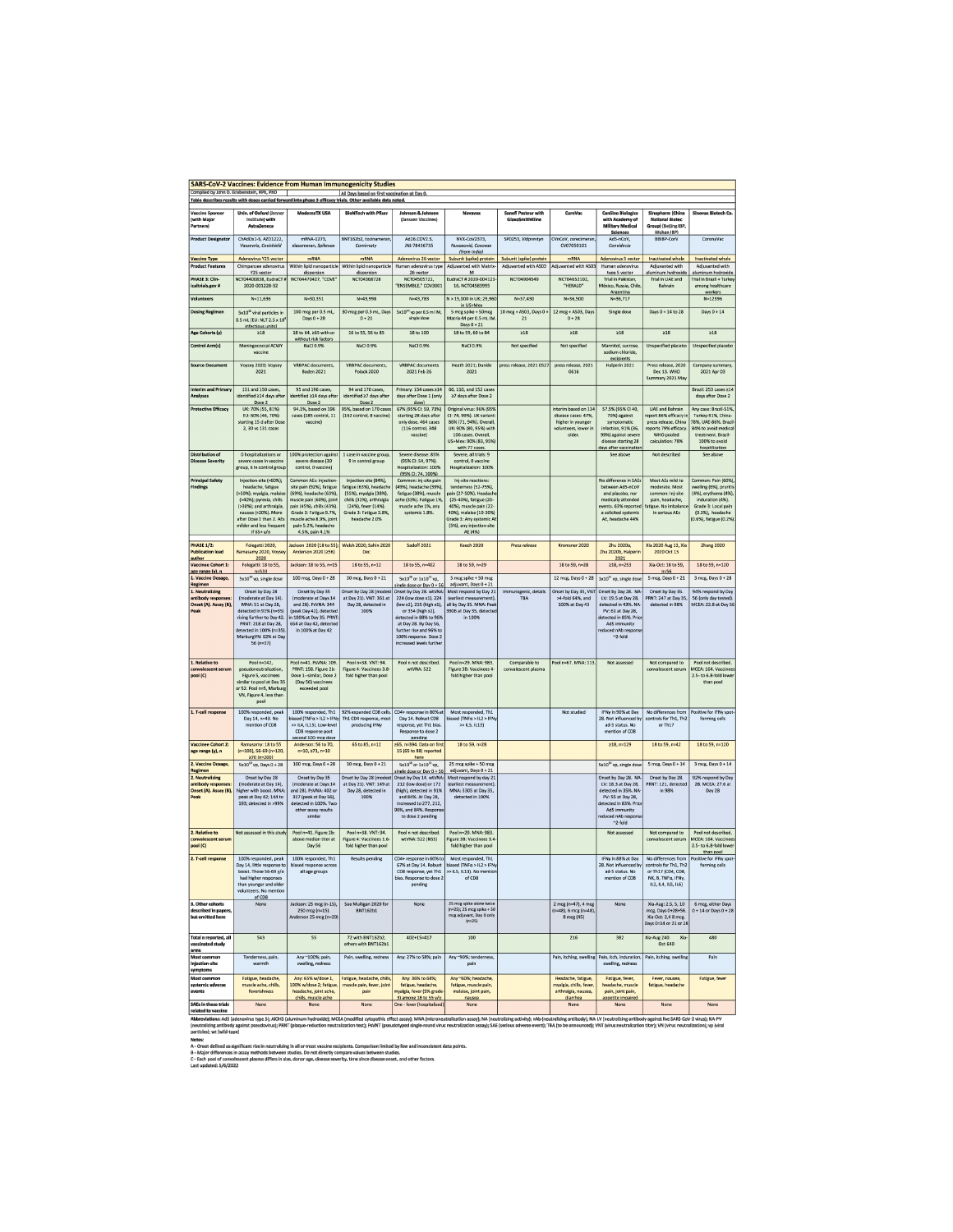| <b>SARS-CoV-2 Vaccines: Evidence from Human Immunogenicity Studies</b>                                                                                                                                    |                                                                                                                                                                                                                                                                                                                                                                                                                                                                  |                                                                                                                                                                                                                                     |                                                                                                                                                                       |                                                                                                                                                                                                            |                                                                                                                                                                                                                         |                                                 |                                                                                                  |                                                                                                                                                                    |                                                                                                                                 |                                                                                                                                                             |  |  |
|-----------------------------------------------------------------------------------------------------------------------------------------------------------------------------------------------------------|------------------------------------------------------------------------------------------------------------------------------------------------------------------------------------------------------------------------------------------------------------------------------------------------------------------------------------------------------------------------------------------------------------------------------------------------------------------|-------------------------------------------------------------------------------------------------------------------------------------------------------------------------------------------------------------------------------------|-----------------------------------------------------------------------------------------------------------------------------------------------------------------------|------------------------------------------------------------------------------------------------------------------------------------------------------------------------------------------------------------|-------------------------------------------------------------------------------------------------------------------------------------------------------------------------------------------------------------------------|-------------------------------------------------|--------------------------------------------------------------------------------------------------|--------------------------------------------------------------------------------------------------------------------------------------------------------------------|---------------------------------------------------------------------------------------------------------------------------------|-------------------------------------------------------------------------------------------------------------------------------------------------------------|--|--|
| Compiled by John D. Grabenstein, RPh, PhD<br>All Days based on first vaccination at Day 0.<br>Table describes results with doses carried forward into phase 3 efficacy trials. Other available data noted |                                                                                                                                                                                                                                                                                                                                                                                                                                                                  |                                                                                                                                                                                                                                     |                                                                                                                                                                       |                                                                                                                                                                                                            |                                                                                                                                                                                                                         |                                                 |                                                                                                  |                                                                                                                                                                    |                                                                                                                                 |                                                                                                                                                             |  |  |
| <b>Vaccine Sponsor</b><br>(with Majo<br>Partners)                                                                                                                                                         | Univ. of Oxford (Jenner<br>Institute) with<br><b>AstraZenera</b>                                                                                                                                                                                                                                                                                                                                                                                                 | <b>ModernaTX USA</b>                                                                                                                                                                                                                | <b>BloNTech with Pfizer</b>                                                                                                                                           | Johnson & Johnson<br>(Janssen Vaccines)                                                                                                                                                                    | Novavax                                                                                                                                                                                                                 | <b>Sanofi Pasteur with</b><br>GlaxoSmithKling   | <b>CureVac</b>                                                                                   | <b>CanSino Biologics</b><br>with Academy of<br><b>Military Medical</b><br><b>Sciences</b>                                                                          | Sinopharm (China<br><b>National Biotec</b><br>Group) (Beljing IBP,<br>Wuhan IBP)                                                | Sinovac Biotech Co.                                                                                                                                         |  |  |
| <b>Product Designator</b>                                                                                                                                                                                 | ChAdOx1-S, AZD1222,<br>Vaxzevria, Covishield                                                                                                                                                                                                                                                                                                                                                                                                                     | mRNA-1273.<br>elasomeran, Spikevo                                                                                                                                                                                                   | BNT162b2, tozinameran<br>Comirnaty                                                                                                                                    | Ad26.COV2.S,<br>JNJ-78436735                                                                                                                                                                               | NVX-CoV2373,<br>Nuvaxovid, Covovax<br>(from India)                                                                                                                                                                      | SP0253, Vidprevtyn                              | CVnCoV, zorecimeran<br>CV07050101                                                                | Ad5-nCoV,<br>Convidecia                                                                                                                                            | BBIBP-CorV                                                                                                                      | CoronaVac                                                                                                                                                   |  |  |
| <b>Vaccine Type</b><br><b>Product Features</b>                                                                                                                                                            | Adenovirus Y25 vector<br>Chimpanzee adenovirus                                                                                                                                                                                                                                                                                                                                                                                                                   | mRNA<br>Within lipid nanoparticle                                                                                                                                                                                                   | <b>mRNA</b><br>Within lipid nanoparticle                                                                                                                              | Adenovirus 26 vector<br>Human adenovirus type                                                                                                                                                              | Subunit (spike) protein<br>Adjuvanted with Matrix-                                                                                                                                                                      | Subunit (spike) protein<br>Adjuvanted with AS03 | mRNA<br>Adjuvanted with AS03                                                                     | Adenovirus 5 vector<br>Human adenovirus                                                                                                                            | Inactivated whole<br>Adjuvanted with                                                                                            | Inactivated whole<br>Adjuvanted with                                                                                                                        |  |  |
| PHASE 3: Clin-                                                                                                                                                                                            | Y25 vector<br>NCT04400838, EudraCT #                                                                                                                                                                                                                                                                                                                                                                                                                             | dispersion<br>NCT04470427, "COVE                                                                                                                                                                                                    | dispersion<br>NCT04368728                                                                                                                                             | 26 vector<br>NCT04505722                                                                                                                                                                                   | EudraCT # 2020-004123                                                                                                                                                                                                   | NCT04904549                                     | NCT04652102                                                                                      | type 5 vector<br>Trial in Pakistan.                                                                                                                                | aluminum hvdroxide<br>Trial in UAE and                                                                                          | aluminum hydroxide<br>Trial in Brazil + Turke                                                                                                               |  |  |
| caltrials.gov #                                                                                                                                                                                           | 2020-001228-32                                                                                                                                                                                                                                                                                                                                                                                                                                                   |                                                                                                                                                                                                                                     |                                                                                                                                                                       | 'ENSEMBLE," COV3001                                                                                                                                                                                        | 16, NCT04583995                                                                                                                                                                                                         |                                                 | "HERALD"                                                                                         | México, Russia, Chile<br>Anzentina                                                                                                                                 | Bahrain                                                                                                                         | among healthcare<br>workers                                                                                                                                 |  |  |
| Volunteers                                                                                                                                                                                                | $N=11,636$                                                                                                                                                                                                                                                                                                                                                                                                                                                       | N=30,351                                                                                                                                                                                                                            | N=43,998                                                                                                                                                              | N=43,783                                                                                                                                                                                                   | N > 15,000 in UK; 29,960<br>in US+Mex                                                                                                                                                                                   | N=37,430                                        | N=36,500                                                                                         | N=36,717                                                                                                                                                           |                                                                                                                                 | N=12396                                                                                                                                                     |  |  |
| <b>Dosing Regimen</b>                                                                                                                                                                                     | 5x10 <sup>20</sup> viral particles in<br>0.5 mL [EU: NLT 2.5 x $10^8$<br>infectious unitsl                                                                                                                                                                                                                                                                                                                                                                       | 100 mcg per 0.5 mL<br>Days 0 + 28                                                                                                                                                                                                   | 30 mcg per 0.3 ml, Days<br>$0 + 21$                                                                                                                                   | 5x10 <sup>30</sup> vp per 0.5 ml IM,<br>single dose                                                                                                                                                        | 5 mcg spike + 50mcg<br>Matrix-M per 0.5 ml. IM<br>Days $0 + 21$                                                                                                                                                         | 10 mcg + AS03, Days 0 +<br>21                   | 12 mcg + AS03, Days<br>$0 + 28$                                                                  | Single dose                                                                                                                                                        | Days 0 + 14 to 28                                                                                                               | Days $0 + 14$                                                                                                                                               |  |  |
| Age Cohorts (y)                                                                                                                                                                                           | $\geq 18$                                                                                                                                                                                                                                                                                                                                                                                                                                                        | 18 to 64, 265 with or<br>without risk factors                                                                                                                                                                                       | 16 to 55, 56 to 85                                                                                                                                                    | 18 to 100                                                                                                                                                                                                  | 18 to 59, 60 to 84                                                                                                                                                                                                      | $\geq 18$                                       | $\geq 18$                                                                                        | 218                                                                                                                                                                | $\geq 18$                                                                                                                       | 218                                                                                                                                                         |  |  |
| Control Arm(s)                                                                                                                                                                                            | Meningococcal ACWY<br>vaccine                                                                                                                                                                                                                                                                                                                                                                                                                                    | NaCl 0.9%                                                                                                                                                                                                                           | NaCl 0.9%                                                                                                                                                             | NaCl 0.9%                                                                                                                                                                                                  | NaCl 0.9%                                                                                                                                                                                                               | <b>Not specified</b>                            | Not specified                                                                                    | Mannitol, sucrose,<br>sodium chloride<br>excipients                                                                                                                | <b>Unspecified placebo</b>                                                                                                      | Unspecified placebo                                                                                                                                         |  |  |
| <b>Source Document</b>                                                                                                                                                                                    | Voysey 2020; Voysey<br>2021                                                                                                                                                                                                                                                                                                                                                                                                                                      | VRBPAC documents,<br>Baden 2021                                                                                                                                                                                                     | VRBPAC documents,<br><b>Polack 2020</b>                                                                                                                               | VRBPAC documents<br>2021 Feb 26                                                                                                                                                                            | Heath 2021; Dunkle<br>2021                                                                                                                                                                                              | press release, 2021 0527                        | press release, 2021<br>0616                                                                      | Halperin 2021                                                                                                                                                      | Press release, 2020<br>Dec 13. WHO<br>Summary 2021 May                                                                          | Company summary,<br>2021 Apr 03                                                                                                                             |  |  |
| <b>Interim and Priman</b><br><b>Analyses</b>                                                                                                                                                              | 131 and 150 cases.<br>identified ≥14 days after<br>Dose 2                                                                                                                                                                                                                                                                                                                                                                                                        | 95 and 196 cases.<br>identified ≥14 days after<br>Dose 2                                                                                                                                                                            | 94 and 170 cases.<br>identified >7 days after<br>Dose 2                                                                                                               | Primary: 154 cases ≥14<br>days after Dose 1 (only<br>dosel                                                                                                                                                 | 66, 110, and 152 cases<br>≥7 days after Dose 2                                                                                                                                                                          |                                                 |                                                                                                  |                                                                                                                                                                    |                                                                                                                                 | Brazil: 253 cases ≥14<br>days after Dose 2                                                                                                                  |  |  |
| <b>Protective Efficacy</b>                                                                                                                                                                                | UK: 70% (55, 81%)<br>EU: 60% (46, 70%)<br>starting 15 d after Dose<br>2, 30 vs 131 cases                                                                                                                                                                                                                                                                                                                                                                         | 94.1%, based on 196<br>cases (185 control, 11<br>vaccine)                                                                                                                                                                           | 95%, based on 170 case<br>(162 control, 8 vaccine)                                                                                                                    | 67% (95% CI: 59, 73%)<br>starting 28 days after<br>only dose, 464 cases<br>(116 control, 348)<br>vaccine)                                                                                                  | Original virus: 96% (95%<br>CI: 74, 99%). UK variant:<br>86% (71, 94%), Overall,<br>UK: 90% (80, 95%) with<br>106 cases. Overall,<br>US+Mex: 90% (83, 95%)<br>with 77 cases                                             |                                                 | nterim based on 134<br>disease cases: 47%<br>higher in younger<br>volunteers, lower in<br>older. | 57.5% (95% CI 40,<br>70%) against<br>symptomatic<br>infection, 91% (36,<br>99%) against severe<br>disease starting 28<br>days after vaccination                    | <b>UAE</b> and Bahrain<br>eport 86% efficacy<br>press release. China<br>reports 79% efficacy.<br>WHO pooled<br>calculation: 78% | Any case: Brazil-51%<br>Turkey-91%, China-<br>8%, UAE-86%, Brazil<br>84% to avoid medica<br>treatment. Brazil-<br>100% to avoid<br>hospitilization          |  |  |
| <b>Distribution of</b><br><b>Disease Severity</b>                                                                                                                                                         | 0 hospitalizations or<br>severe cases in vaccine<br>group, 6 in control group                                                                                                                                                                                                                                                                                                                                                                                    | 100% protection against<br>severe disease (30<br>control, 0 vaccine)                                                                                                                                                                | 1 case in vaccine group<br>9 in control group                                                                                                                         | Severe disease: 85%<br>(95% CI: 54, 97%).<br>Hospitalization: 100%<br>(95% CI: 74, 100%)                                                                                                                   | Severe, all trials: 9<br>control, 0 vaccine<br>Hospitalization: 100%                                                                                                                                                    |                                                 |                                                                                                  | See above                                                                                                                                                          | Not described                                                                                                                   | See above                                                                                                                                                   |  |  |
| <b>Principal Safety</b><br><b>Findings</b>                                                                                                                                                                | Injection-site (>60%);<br>headache, fatigue<br>(>50%); myalgia, malaise<br>(>40%); pyrexia, chills<br>(>30%); and arthralgia,<br>nausea (>20%). More<br>after Dose 1 than 2. AEs<br>milder and less frequen<br>if 65+y/o                                                                                                                                                                                                                                         | Common AEs: injection-<br>site pain (92%), fatigue<br>(69%), headache (63%),<br>muscle pain (60%), joint<br>pain (45%), chills (43%)<br>Grade 3: Fatigue 9.7%.<br>muscle ache 8.9%, joint<br>pain 5.2%, headache<br>4.5%, pain 4.1% | Injection site (84%),<br>fatigue (63%), headach<br>(55%), myalgia (38%),<br>chills (32%), arthralgia<br>(24%), fever (14%).<br>Grade 3: Fatigue 3.8%<br>headache 2.0% | Common: inj-site pain<br>(49%), headache (39%).<br>fatigue (38%), muscle<br>ache (33%). Fatigue 1%<br>muscle ache 1%, any<br>systemic 1.8%.                                                                | Inj-site reactions:<br>tenderness (52-75%).<br>pain (27-50%). Headache<br>(25-40%), fatigue (20-<br>40%), muscle pain (22-<br>40%), malaise (10-30%)<br>Grade 3: Any systemic AE<br>(5%), any injection-site<br>AE (4%) |                                                 |                                                                                                  | No difference in SAEs<br>between Ad5-nCoV<br>and placebo, nor<br>medically attended<br>events. 63% reporter<br>a solicited systemic<br>AE, headache 44%            | Most AEs mild to<br>moderate. Most<br>common: Inj-site<br>pain, headache,<br>fatigue. No imbalan<br>in serious AEs              | Common: Pain (60%)<br>welling (6%), pruriti<br>(4%), erythema (4%)<br>induration (4%).<br>Grade 3: Local pain<br>(0.1%), headache<br>(0.6%), fatigue (0.2%) |  |  |
| <b>PHASE 1/2:</b><br><b>Publication lead</b>                                                                                                                                                              | Folegatti 2020,<br>Ramasamy 2020, Voyse                                                                                                                                                                                                                                                                                                                                                                                                                          | lackson 2020 (18 to 55):<br>Anderson 2020 (256)                                                                                                                                                                                     | Walsh 2020; Sahin 2020<br>Dec                                                                                                                                         | Sadoff 2021                                                                                                                                                                                                | <b>Keech 2020</b>                                                                                                                                                                                                       | Press release                                   | Kremsner 2020                                                                                    | Zhu 2020a.<br>Zhu 2020b, Halperin                                                                                                                                  | Xia 2020 Aug 13, Xia<br>2020 Oct 15                                                                                             | <b>Zhang 2020</b>                                                                                                                                           |  |  |
| author<br>Vaccinee Cohort 1:<br>aze range (v), n                                                                                                                                                          | 2020<br>Folegatti: 18 to 55,<br>$n = 533$                                                                                                                                                                                                                                                                                                                                                                                                                        | Jackson: 18 to 55, n=15                                                                                                                                                                                                             | 18 to 55, n=12                                                                                                                                                        | 18 to 55, n=402                                                                                                                                                                                            | 18 to 59, n=29                                                                                                                                                                                                          |                                                 | 18 to 59, n=28                                                                                   | 2021<br>≥18, n=253                                                                                                                                                 | Xia-Oct: 18 to 59,<br>$n=56$                                                                                                    | 18 to 59, n=120                                                                                                                                             |  |  |
| 1. Vaccine Dosage,<br>Regimen                                                                                                                                                                             | 5x10 <sup>10</sup> vp, single dose                                                                                                                                                                                                                                                                                                                                                                                                                               | 100 mcg, Days 0 + 28                                                                                                                                                                                                                | 30 mcg, Days 0 + 21                                                                                                                                                   | $5x10^{10}$ or $1x10^{11}$ vp,<br>ingle dose or Dav 0 + 56                                                                                                                                                 | 5 mcg spike + 50 mcg<br>adjuvant, Days 0 + 21                                                                                                                                                                           |                                                 | 12 mcg, Days 0 + 28                                                                              | $1x10^{11}$ vp, single dose                                                                                                                                        | 5 mcg, Days 0 + 21                                                                                                              | 3 mcg, Days 0 + 28                                                                                                                                          |  |  |
| antibody respor<br>Onset (A). Assay (B),<br>Peak                                                                                                                                                          | (moderate at Day 14).<br>MNA: 51 at Day 28,<br>detected in 91% (n=35)<br>rising further to Day 42<br>PRNT: 218 at Day 28,<br>letected in 100% (n=35)<br>MarburgVN: 62% at Day<br>$56(n=37)$                                                                                                                                                                                                                                                                      | (moderate at Days 14<br>and 28). PsVNA: 344<br>(peak Day 42), detected<br>in 100% at Day 35. PRNT<br>654 at Day 42, detected<br>in 100% at Day 42                                                                                   | at Day 21). VNT: 361 at<br>Day 28, detected in<br>100%                                                                                                                | 224 (low dose x1), 224<br>(low x2), 215 (high x1),<br>or 354 (high x2),<br>detected in 88% to 96%<br>at Day 28. By Day 56,<br>further rise and 96% to<br>100% response. Dose 2<br>increased levels further | (earliest measurement)<br>all by Day 35. MNA: Peak<br>3906 at Day 35, detected<br>in 100%                                                                                                                               | TBA                                             | >4-fold 64%, and<br>100% at Day 43                                                               | LV: 19.5 at Day 28,<br>detected in 43%. NA<br>PV: 61 at Day 28,<br>detected in 85%. Pric<br>Ad5 immunity<br>educed nAb respon<br>$-2$ -fold                        | RNT: 247 at Day 35<br>detected in 98%                                                                                           | 56 (only day tested).<br>MCEA: 23.8 at Day 5                                                                                                                |  |  |
| 1. Relative to<br>convalescent serun<br>pool (C)                                                                                                                                                          | Pool n=142,<br>pseudoneutralization<br>Figure 5, vaccinees<br>similar to pool at Day 35<br>or 52. Pool n=5, Marburg<br>VN, Figure 4, less than<br>pool                                                                                                                                                                                                                                                                                                           | Pool n=41, PsVNA: 109.<br>PRNT: 158. Figure 2b:<br>Dose 1--similar, Dose 2<br>(Day 56) vaccinees<br>exceeded pool                                                                                                                   | Pool n=38, VNT: 94.<br>Figure 4: Vaccinees 3.8<br>fold higher than pool                                                                                               | Pool n not described.<br>wtVNA: 522                                                                                                                                                                        | Pool n=29, MNA: 983<br>Figure 3B: Vaccinees 4<br>fold higher than pool                                                                                                                                                  | Comparable to<br>convalescent plasma            | Pool n=67, MNA: 113.                                                                             | Not assessed                                                                                                                                                       | Not compared to<br>convalescent serum                                                                                           | Pool not described.<br>MCEA: 164. Vaccinee<br>2.5- to 6.8-fold lowe<br>than pool                                                                            |  |  |
| 1. T-cell response                                                                                                                                                                                        | 100% responded, peak<br>Day 14, n=43. No<br>mention of CD8                                                                                                                                                                                                                                                                                                                                                                                                       | 100% responded, Th1<br>$biased$ (TNF $\alpha$ > IL2 > IFNv<br>>> IL4, IL13). Low-level<br>CD8 response post<br>second 100-mcg dose                                                                                                  | 92% expanded CD8 cells<br>Th1 CD4 response, mos<br>producing IFNy                                                                                                     | CD4+ response in 80% a<br>Day 14. Robust CD8<br>response, yet Th1 bias<br>Response to dose 2<br>pending                                                                                                    | Most responded, Th1<br>biased (TNF $\alpha$ > IL2 > IFN)<br>>15, 113                                                                                                                                                    |                                                 | Not studied                                                                                      | IFNy in 90% at Day<br>28. Not influenced by<br>ad-5 status. No<br>mention of CD8                                                                                   | No differences from<br>controls for Th1, Th2<br>or Th17                                                                         | Positive for IFNy spot<br>forming cells                                                                                                                     |  |  |
| <b>Vaccinee Cohort 2:</b><br>age range (y), n                                                                                                                                                             | Ramasamy: 18 to 55<br>(n=100), 56-69 (n=120.<br>$270$ (n=200)                                                                                                                                                                                                                                                                                                                                                                                                    | Anderson: 56 to 70,<br>n=10, 271, n=10                                                                                                                                                                                              | 65 to 85, n=12                                                                                                                                                        | 265, n=394. Data on first<br>15 (65 to 88) reported<br>here                                                                                                                                                | 18 to 59, n=28                                                                                                                                                                                                          |                                                 |                                                                                                  | $218, n=129$                                                                                                                                                       | 18 to 59, n=42                                                                                                                  | 18 to 59, n=120                                                                                                                                             |  |  |
| 2. Vaccine Dosage,<br><b>Regimen</b>                                                                                                                                                                      | $5x10^{30}$ vp, Days $0 + 28$                                                                                                                                                                                                                                                                                                                                                                                                                                    | 100 mcg, Days 0 + 28                                                                                                                                                                                                                | 30 mcg, Days 0 + 21                                                                                                                                                   | $5x10^{10}$ or $1x10^{11}$ vp,<br>ingle dose or Dav 0 + 56                                                                                                                                                 | 25 mcg spike + 50 mcg<br>adjuvant, Days 0 + 21                                                                                                                                                                          |                                                 |                                                                                                  | 5x10 <sup>10</sup> vp, single dose                                                                                                                                 | 5 mcg, Days 0 + 14                                                                                                              | 3 mcg, Days 0 + 14                                                                                                                                          |  |  |
| 2. Neutralizing<br>antibody respor<br>Onset (A). Assay (B),<br>Peak                                                                                                                                       | Onset by Day 28<br>(moderate at Day 14),<br>higher with boost. MNA:<br>peak at Day 42: 144 to<br>193: detected in >99%                                                                                                                                                                                                                                                                                                                                           | Onset by Day 35<br>(moderate at Days 14<br>and 281 PsVNA: 402 or<br>317 (peak at Day 56).<br>detected in 100%. Two<br>other assay results<br>similar                                                                                | Onset by Day 28 (modes<br>at Day 21). VNT: 149 at<br>Day 28, detected in<br>100%                                                                                      | Onset by Day 14. wtVNA<br>212 (low dose) or 172<br>(high), detected in 91%<br>and 84%. At Day 28,<br>increased to 277, 212,<br>96%, and 84%. Respons<br>to dose 2 pending                                  | Most respond by day 21<br>(earliest measurement)<br>MNA: 3305 at Day 35,<br>detected in 100%                                                                                                                            |                                                 |                                                                                                  | Onset by Day 28. NA<br>LV: 18.3 at Day 28,<br>detected in 35%. NA<br>PV: 55 at Day 28.<br>detected in 83%. Pric<br>Ad5 immunity<br>reduced nAb respo<br>$-2$ -fold | Onset by Day 28<br>PRNT: 121, detected<br>in 98%                                                                                | 92% respond by Day<br>28. MCEA: 27.6 at<br>Day 28                                                                                                           |  |  |
| 2. Relative to<br>convalescent serum<br>pool (C)                                                                                                                                                          | Not assessed in this study                                                                                                                                                                                                                                                                                                                                                                                                                                       | Pool n=41. Figure 2b:<br>above median titer at<br>Day 56                                                                                                                                                                            | Pool n=38, VNT: 94.<br>Figure 4: Vaccinees 1.6<br>fold higher than pool                                                                                               | Pool n not described.<br>wtVNA: 522 (NSS)                                                                                                                                                                  | Pool n=29, MNA: 983.<br>Figure 3B: Vaccinees 3.4<br>fold higher than pool                                                                                                                                               |                                                 |                                                                                                  | Not assessed                                                                                                                                                       | Not compared to<br>convalescent serum                                                                                           | Pool not described.<br>MCEA: 164, Vaccinee<br>2.5- to 6.8-fold lowe<br>than pool                                                                            |  |  |
| 2. T-cell response                                                                                                                                                                                        | 100% responded, peak<br>Day 14, little response to<br>boost. Those 56-69 y/o<br>had higher responses<br>than younger and older<br>volunteers. No mention<br>of CD8                                                                                                                                                                                                                                                                                               | 100% responded, Th1<br>biased response across<br>all age groups                                                                                                                                                                     | <b>Results pending</b>                                                                                                                                                | CD4+ response in 60% to<br>67% at Day 14. Robust<br>CD8 response, yet Th1<br>bias. Response to dose 2<br>pending                                                                                           | Most responded, Th1<br>biased (TNFa > IL2 > IFN<br>>> IL5, IL13). No mentior<br>of CD8                                                                                                                                  |                                                 |                                                                                                  | IFNy in 88% at Day<br>28. Not influenced by<br>ad-5 status. No<br>mention of CDB                                                                                   | No differences from<br>controls for Th1. Th2<br>or Th17 (CD4, CD8,<br>NK, B, TNFa, IFNy,<br>IL2, IL4, IL5, IL6)                 | Positive for IFNy spot<br>forming cells                                                                                                                     |  |  |
| 3. Other cohorts<br>described in paper<br>but omitted here                                                                                                                                                | None                                                                                                                                                                                                                                                                                                                                                                                                                                                             | Jackson: 25 mcg (n-15),<br>250 mcg (n=15).<br>Anderson 25 mcg (n=20)                                                                                                                                                                | See Mulligan 2020 for<br><b>BNT162b1</b>                                                                                                                              | None                                                                                                                                                                                                       | 25 mcg spike alone twice<br>(n=25); 25 mcg spike + 50<br>mcg adjuvant, Day 0 only<br>$(n=25)$                                                                                                                           |                                                 | 2 mcg (n=47), 4 mcg<br>(n=48), 6 mcg (n=48),<br>8 mcg (45)                                       | None                                                                                                                                                               | Xia-Aug: 2.5, 5, 10<br>mcg, Days 0+28+56.<br>Xia-Oct: 2,4 8 mcg<br>Days 0=14 or 21 or 28                                        | 6 mcg, either Days<br>$0 + 14$ or Days $0 + 28$                                                                                                             |  |  |
| Total a reported, all<br>vaccinated study<br>arms                                                                                                                                                         | 543                                                                                                                                                                                                                                                                                                                                                                                                                                                              | 55                                                                                                                                                                                                                                  | 72 with RNT162b2<br>others with BNT162b1                                                                                                                              | $402 + 15 = 417$                                                                                                                                                                                           | 100                                                                                                                                                                                                                     |                                                 | 216                                                                                              | 382                                                                                                                                                                | Xia-Aug 240.<br>Xia<br>Oct 640                                                                                                  | 480                                                                                                                                                         |  |  |
| Most common<br>injection-site<br>symptoms                                                                                                                                                                 | Tenderness, pain,<br>warmth                                                                                                                                                                                                                                                                                                                                                                                                                                      | Any ~100%; pain,<br>swelling, redness                                                                                                                                                                                               | Pain, swelling, redness                                                                                                                                               | Any: 27% to 58%; pain                                                                                                                                                                                      | Any ~90%; tenderness.<br>pain                                                                                                                                                                                           |                                                 | Pain, itching, swelling                                                                          | Pain, itch, induration<br>swelling, redness                                                                                                                        | Pain, itching, swelling                                                                                                         | Pain                                                                                                                                                        |  |  |
| Most common<br>systemic adverse<br>events                                                                                                                                                                 | Fatigue, headache,<br>muscle ache, chills,<br>feverishness                                                                                                                                                                                                                                                                                                                                                                                                       | Any: 65% w/dose 1,<br>100% w/dose 2; fatigue,<br>headache, joint ache,<br>chills, muscle ache                                                                                                                                       | Fatigue, headache, chills<br>muscle pain, fever, joint<br>pain                                                                                                        | Any: 36% to 64%:<br>fatigue, headache,<br>nyalgia, fever (5% grade<br>3) among 18 to 55 y/o                                                                                                                | Any ~60%; headache,<br>fatigue, muscle pain<br>malaise, joint pain,<br>nausea                                                                                                                                           |                                                 | Headache, fatigue,<br>myalgia, chills, fever<br>arthralgia, nausea,<br>diarrhea                  | Fatigue, fever,<br>headache, muscle<br>pain, joint pain,<br>appetite impaired                                                                                      | Fever, nausea,<br>fatigue, headache                                                                                             | Fatigue, fever                                                                                                                                              |  |  |
| <b>SAEs in these trials</b><br>related to vaccine                                                                                                                                                         | None                                                                                                                                                                                                                                                                                                                                                                                                                                                             | None                                                                                                                                                                                                                                | None                                                                                                                                                                  | One - fever (hospitalized                                                                                                                                                                                  | None                                                                                                                                                                                                                    |                                                 | None                                                                                             | None                                                                                                                                                               | None                                                                                                                            | None                                                                                                                                                        |  |  |
|                                                                                                                                                                                                           | Abbreviations: Ad5 (adenovirus type 5); AIOH3 (aluminum hydroxide); MCEA (modified cytopathic effect assay); MNA (microneutralization assay); MA (neutralizing activity); nAb (neutralizing antibody); NA-LV (neutralizing ant<br>(neutralizing antibody against pseudovirus); PRNT (plaque-reduction neutralization test); PSVNT (pseudotyped single-round virus neutralization assay); SAE (serious adverse event); TBA (to be announced); VNT (virus neutrali |                                                                                                                                                                                                                                     |                                                                                                                                                                       |                                                                                                                                                                                                            |                                                                                                                                                                                                                         |                                                 |                                                                                                  |                                                                                                                                                                    |                                                                                                                                 |                                                                                                                                                             |  |  |

Nehet.<br>A - Onest defined as significant rise in neutralising in all or most vaccine necipients. Comparison limited by few and inconsiste<br>A - Onest definences in assay methods between studies. Do not directly compare values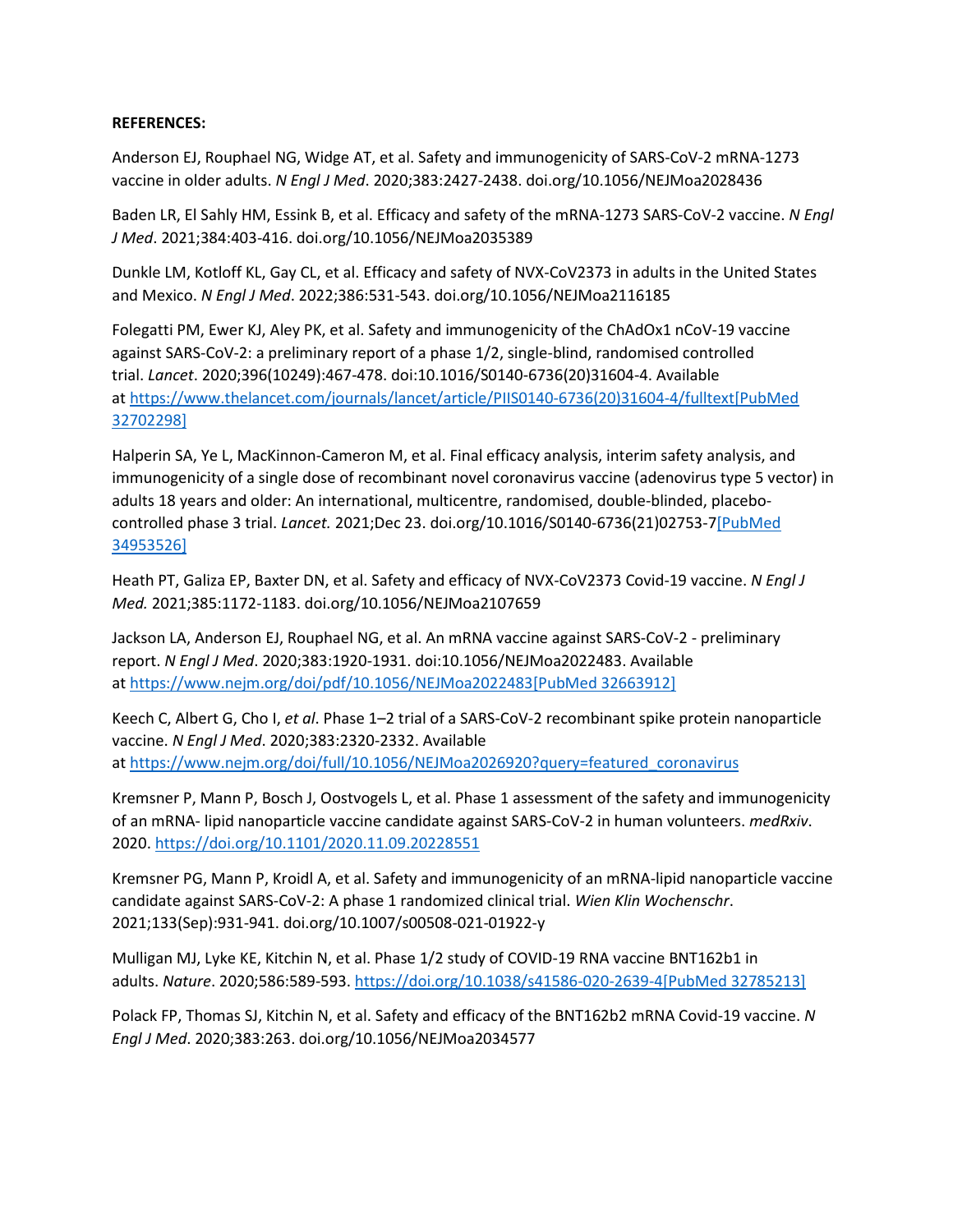### **REFERENCES:**

Anderson EJ, Rouphael NG, Widge AT, et al. Safety and immunogenicity of SARS-CoV-2 mRNA-1273 vaccine in older adults. *N Engl J Med*. 2020;383:2427-2438. doi.org/10.1056/NEJMoa2028436

Baden LR, El Sahly HM, Essink B, et al. Efficacy and safety of the mRNA-1273 SARS-CoV-2 vaccine. *N Engl J Med*. 2021;384:403-416. doi.org/10.1056/NEJMoa2035389

Dunkle LM, Kotloff KL, Gay CL, et al. Efficacy and safety of NVX-CoV2373 in adults in the United States and Mexico. *N Engl J Med*. 2022;386:531-543. doi.org/10.1056/NEJMoa2116185

Folegatti PM, Ewer KJ, Aley PK, et al. Safety and immunogenicity of the ChAdOx1 nCoV-19 vaccine against SARS-CoV-2: a preliminary report of a phase 1/2, single-blind, randomised controlled trial. *Lancet*. 2020;396(10249):467-478. doi:10.1016/S0140-6736(20)31604-4. Available at [https://www.thelancet.com/journals/lancet/article/PIIS0140-6736\(20\)31604-4/fulltext](https://www.thelancet.com/journals/lancet/article/PIIS0140-6736(20)31604-4/fulltext)[\[PubMed](https://www.ncbi.nlm.nih.gov/entrez/query.fcgi?cmd=Retrieve&db=pubmed&dopt=Abstract&list_uids=32702298)  [32702298\]](https://www.ncbi.nlm.nih.gov/entrez/query.fcgi?cmd=Retrieve&db=pubmed&dopt=Abstract&list_uids=32702298)

Halperin SA, Ye L, MacKinnon-Cameron M, et al. Final efficacy analysis, interim safety analysis, and immunogenicity of a single dose of recombinant novel coronavirus vaccine (adenovirus type 5 vector) in adults 18 years and older: An international, multicentre, randomised, double-blinded, placebocontrolled phase 3 trial. *Lancet.* 2021;Dec 23. doi.org/10.1016/S0140-6736(21)02753-[7\[PubMed](https://www.ncbi.nlm.nih.gov/entrez/query.fcgi?cmd=Retrieve&db=pubmed&dopt=Abstract&list_uids=34953526)  [34953526\]](https://www.ncbi.nlm.nih.gov/entrez/query.fcgi?cmd=Retrieve&db=pubmed&dopt=Abstract&list_uids=34953526)

Heath PT, Galiza EP, Baxter DN, et al. Safety and efficacy of NVX-CoV2373 Covid-19 vaccine. *N Engl J Med.* 2021;385:1172-1183. doi.org/10.1056/NEJMoa2107659

Jackson LA, Anderson EJ, Rouphael NG, et al. An mRNA vaccine against SARS-CoV-2 - preliminary report. *N Engl J Med*. 2020;383:1920-1931. doi:10.1056/NEJMoa2022483. Available at <https://www.nejm.org/doi/pdf/10.1056/NEJMoa2022483>[\[PubMed 32663912\]](https://www.ncbi.nlm.nih.gov/entrez/query.fcgi?cmd=Retrieve&db=pubmed&dopt=Abstract&list_uids=32663912)

Keech C, Albert G, Cho I, *et al*. Phase 1–2 trial of a SARS-CoV-2 recombinant spike protein nanoparticle vaccine. *N Engl J Med*. 2020;383:2320-2332. Available at [https://www.nejm.org/doi/full/10.1056/NEJMoa2026920?query=featured\\_coronavirus](https://www.nejm.org/doi/full/10.1056/NEJMoa2026920?query=featured_coronavirus)

Kremsner P, Mann P, Bosch J, Oostvogels L, et al. Phase 1 assessment of the safety and immunogenicity of an mRNA- lipid nanoparticle vaccine candidate against SARS-CoV-2 in human volunteers. *medRxiv*. 2020. <https://doi.org/10.1101/2020.11.09.20228551>

Kremsner PG, Mann P, Kroidl A, et al. Safety and immunogenicity of an mRNA-lipid nanoparticle vaccine candidate against SARS-CoV-2: A phase 1 randomized clinical trial. *Wien Klin Wochenschr*. 2021;133(Sep):931-941. doi.org/10.1007/s00508-021-01922-y

Mulligan MJ, Lyke KE, Kitchin N, et al. Phase 1/2 study of COVID-19 RNA vaccine BNT162b1 in adults. *Nature*. 2020;586:589-593. <https://doi.org/10.1038/s41586-020-2639-4>[\[PubMed 32785213\]](https://www.ncbi.nlm.nih.gov/entrez/query.fcgi?cmd=Retrieve&db=pubmed&dopt=Abstract&list_uids=32785213)

Polack FP, Thomas SJ, Kitchin N, et al. Safety and efficacy of the BNT162b2 mRNA Covid-19 vaccine. *N Engl J Med*. 2020;383:263. doi.org/10.1056/NEJMoa2034577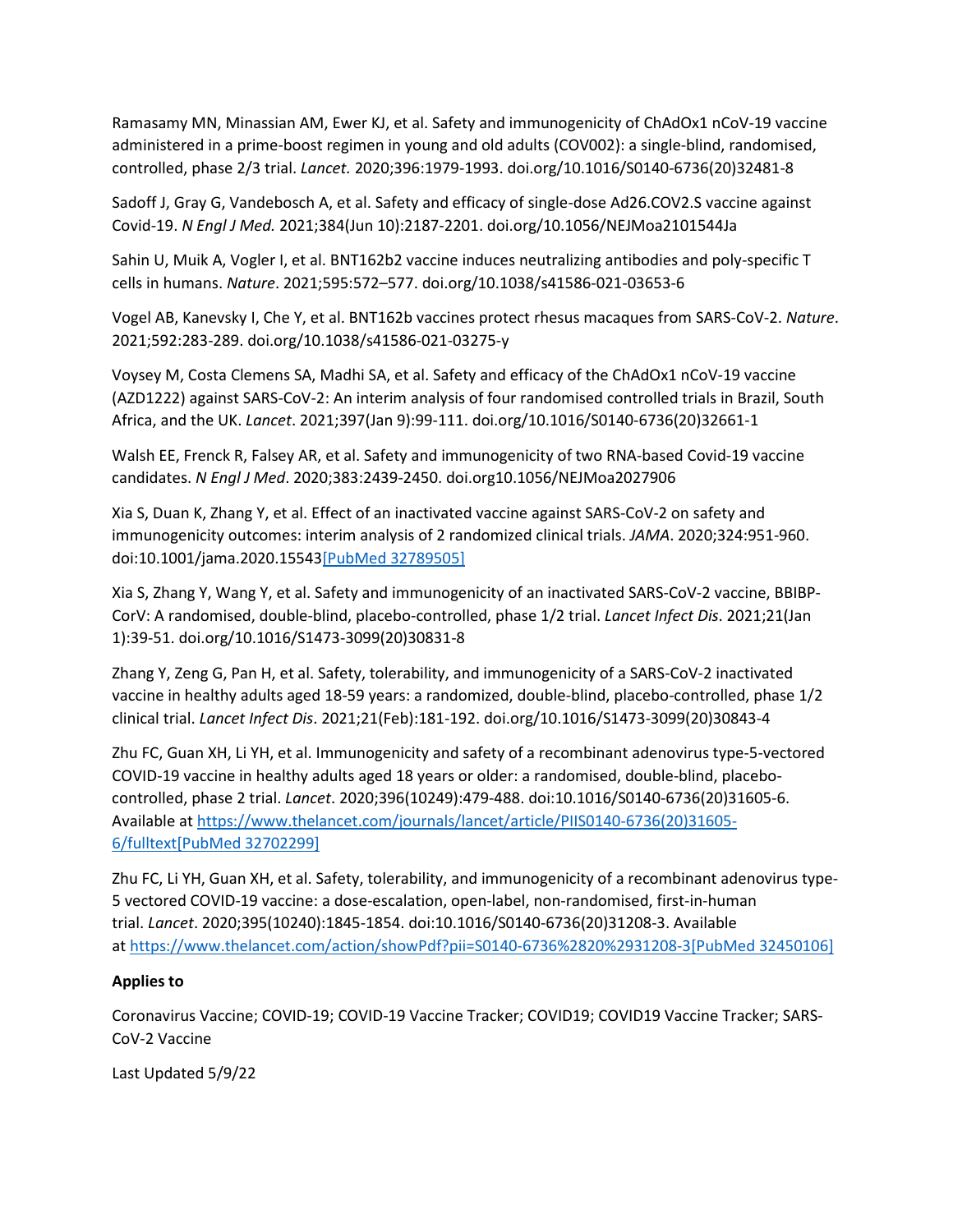Ramasamy MN, Minassian AM, Ewer KJ, et al. Safety and immunogenicity of ChAdOx1 nCoV-19 vaccine administered in a prime-boost regimen in young and old adults (COV002): a single-blind, randomised, controlled, phase 2/3 trial. *Lancet.* 2020;396:1979-1993. doi.org/10.1016/S0140-6736(20)32481-8

Sadoff J, Gray G, Vandebosch A, et al. Safety and efficacy of single-dose Ad26.COV2.S vaccine against Covid-19. *N Engl J Med.* 2021;384(Jun 10):2187-2201. doi.org/10.1056/NEJMoa2101544Ja

Sahin U, Muik A, Vogler I, et al. BNT162b2 vaccine induces neutralizing antibodies and poly-specific T cells in humans. *Nature*. 2021;595:572–577. doi.org/10.1038/s41586-021-03653-6

Vogel AB, Kanevsky I, Che Y, et al. BNT162b vaccines protect rhesus macaques from SARS-CoV-2. *Nature*. 2021;592:283-289. doi.org/10.1038/s41586-021-03275-y

Voysey M, Costa Clemens SA, Madhi SA, et al. Safety and efficacy of the ChAdOx1 nCoV-19 vaccine (AZD1222) against SARS-CoV-2: An interim analysis of four randomised controlled trials in Brazil, South Africa, and the UK. *Lancet*. 2021;397(Jan 9):99-111. doi.org/10.1016/S0140-6736(20)32661-1

Walsh EE, Frenck R, Falsey AR, et al. Safety and immunogenicity of two RNA-based Covid-19 vaccine candidates. *N Engl J Med*. 2020;383:2439-2450. doi.org10.1056/NEJMoa2027906

Xia S, Duan K, Zhang Y, et al. Effect of an inactivated vaccine against SARS-CoV-2 on safety and immunogenicity outcomes: interim analysis of 2 randomized clinical trials. *JAMA*. 2020;324:951-960. doi:10.1001/jama.2020.1554[3\[PubMed 32789505\]](https://www.ncbi.nlm.nih.gov/entrez/query.fcgi?cmd=Retrieve&db=pubmed&dopt=Abstract&list_uids=32789505)

Xia S, Zhang Y, Wang Y, et al. Safety and immunogenicity of an inactivated SARS-CoV-2 vaccine, BBIBP-CorV: A randomised, double-blind, placebo-controlled, phase 1/2 trial. *Lancet Infect Dis*. 2021;21(Jan 1):39-51. doi.org/10.1016/S1473-3099(20)30831-8

Zhang Y, Zeng G, Pan H, et al. Safety, tolerability, and immunogenicity of a SARS-CoV-2 inactivated vaccine in healthy adults aged 18-59 years: a randomized, double-blind, placebo-controlled, phase 1/2 clinical trial. *Lancet Infect Dis*. 2021;21(Feb):181-192. doi.org/10.1016/S1473-3099(20)30843-4

Zhu FC, Guan XH, Li YH, et al. Immunogenicity and safety of a recombinant adenovirus type-5-vectored COVID-19 vaccine in healthy adults aged 18 years or older: a randomised, double-blind, placebocontrolled, phase 2 trial. *Lancet*. 2020;396(10249):479-488. doi:10.1016/S0140-6736(20)31605-6. Available at [https://www.thelancet.com/journals/lancet/article/PIIS0140-6736\(20\)31605-](https://www.thelancet.com/journals/lancet/article/PIIS0140-6736(20)31605-6/fulltext) [6/fulltext](https://www.thelancet.com/journals/lancet/article/PIIS0140-6736(20)31605-6/fulltext)[\[PubMed 32702299\]](https://www.ncbi.nlm.nih.gov/entrez/query.fcgi?cmd=Retrieve&db=pubmed&dopt=Abstract&list_uids=32702299)

Zhu FC, Li YH, Guan XH, et al. Safety, tolerability, and immunogenicity of a recombinant adenovirus type-5 vectored COVID-19 vaccine: a dose-escalation, open-label, non-randomised, first-in-human trial. *Lancet*. 2020;395(10240):1845-1854. doi:10.1016/S0140-6736(20)31208-3. Available at <https://www.thelancet.com/action/showPdf?pii=S0140-6736%2820%2931208-3>[\[PubMed 32450106\]](https://www.ncbi.nlm.nih.gov/entrez/query.fcgi?cmd=Retrieve&db=pubmed&dopt=Abstract&list_uids=32450106)

## **Applies to**

Coronavirus Vaccine; COVID-19; COVID-19 Vaccine Tracker; COVID19; COVID19 Vaccine Tracker; SARS-CoV-2 Vaccine

Last Updated 5/9/22